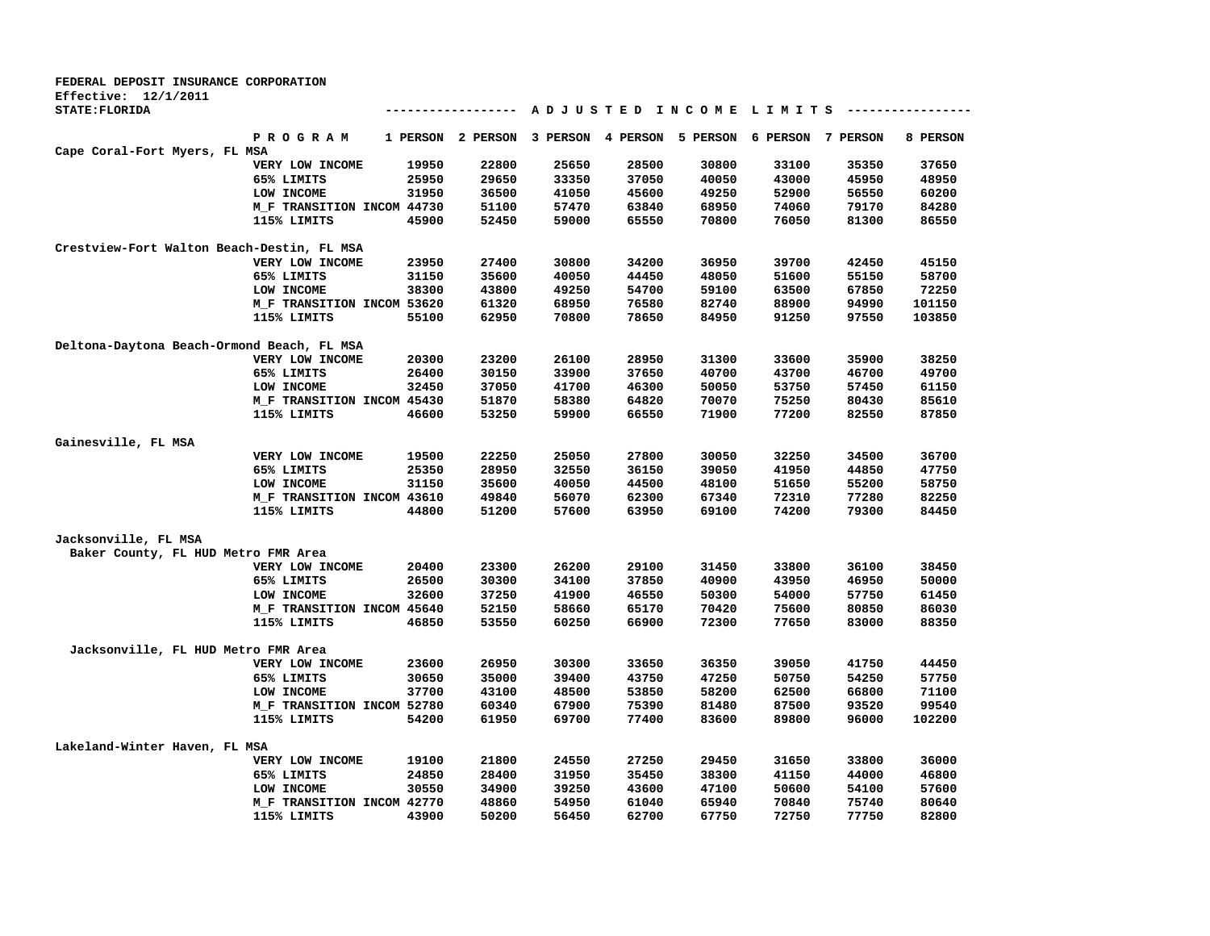| FEDERAL DEPOSIT INSURANCE CORPORATION      |                            |          |          |          |                   |                                         |                   |       |          |
|--------------------------------------------|----------------------------|----------|----------|----------|-------------------|-----------------------------------------|-------------------|-------|----------|
| Effective: 12/1/2011                       |                            |          |          |          |                   |                                         |                   |       |          |
| STATE: FLORIDA                             |                            |          |          |          |                   | A D J U S T E D I N C O M E L I M I T S |                   |       |          |
|                                            | P R O G R A M              | 1 PERSON | 2 PERSON | 3 PERSON | 4 PERSON 5 PERSON |                                         | 6 PERSON 7 PERSON |       | 8 PERSON |
| Cape Coral-Fort Myers, FL MSA              |                            |          |          |          |                   |                                         |                   |       |          |
|                                            | VERY LOW INCOME            | 19950    | 22800    | 25650    | 28500             | 30800                                   | 33100             | 35350 | 37650    |
|                                            | 65% LIMITS                 | 25950    | 29650    | 33350    | 37050             | 40050                                   | 43000             | 45950 | 48950    |
|                                            | LOW INCOME                 | 31950    | 36500    | 41050    | 45600             | 49250                                   | 52900             | 56550 | 60200    |
|                                            | M_F TRANSITION INCOM 44730 |          | 51100    | 57470    | 63840             | 68950                                   | 74060             | 79170 | 84280    |
|                                            | 115% LIMITS                | 45900    | 52450    | 59000    | 65550             | 70800                                   | 76050             | 81300 | 86550    |
| Crestview-Fort Walton Beach-Destin, FL MSA |                            |          |          |          |                   |                                         |                   |       |          |
|                                            | VERY LOW INCOME            | 23950    | 27400    | 30800    | 34200             | 36950                                   | 39700             | 42450 | 45150    |
|                                            | 65% LIMITS                 | 31150    | 35600    | 40050    | 44450             | 48050                                   | 51600             | 55150 | 58700    |
|                                            | LOW INCOME                 | 38300    | 43800    | 49250    | 54700             | 59100                                   | 63500             | 67850 | 72250    |
|                                            | M_F TRANSITION INCOM 53620 |          | 61320    | 68950    | 76580             | 82740                                   | 88900             | 94990 | 101150   |
|                                            | 115% LIMITS                | 55100    | 62950    | 70800    | 78650             | 84950                                   | 91250             | 97550 | 103850   |
| Deltona-Daytona Beach-Ormond Beach, FL MSA |                            |          |          |          |                   |                                         |                   |       |          |
|                                            | VERY LOW INCOME            | 20300    | 23200    | 26100    | 28950             | 31300                                   | 33600             | 35900 | 38250    |
|                                            | 65% LIMITS                 | 26400    | 30150    | 33900    | 37650             | 40700                                   | 43700             | 46700 | 49700    |
|                                            | LOW INCOME                 | 32450    | 37050    | 41700    | 46300             | 50050                                   | 53750             | 57450 | 61150    |
|                                            | M_F TRANSITION INCOM 45430 |          | 51870    | 58380    | 64820             | 70070                                   | 75250             | 80430 | 85610    |
|                                            | 115% LIMITS                | 46600    | 53250    | 59900    | 66550             | 71900                                   | 77200             | 82550 | 87850    |
| Gainesville, FL MSA                        |                            |          |          |          |                   |                                         |                   |       |          |
|                                            | VERY LOW INCOME            | 19500    | 22250    | 25050    | 27800             | 30050                                   | 32250             | 34500 | 36700    |
|                                            | 65% LIMITS                 | 25350    | 28950    | 32550    | 36150             | 39050                                   | 41950             | 44850 | 47750    |
|                                            | LOW INCOME                 | 31150    | 35600    | 40050    | 44500             | 48100                                   | 51650             | 55200 | 58750    |
|                                            | M_F TRANSITION INCOM 43610 |          | 49840    | 56070    | 62300             | 67340                                   | 72310             | 77280 | 82250    |
|                                            | 115% LIMITS                | 44800    | 51200    | 57600    | 63950             | 69100                                   | 74200             | 79300 | 84450    |
| Jacksonville, FL MSA                       |                            |          |          |          |                   |                                         |                   |       |          |
| Baker County, FL HUD Metro FMR Area        |                            |          |          |          |                   |                                         |                   |       |          |
|                                            | VERY LOW INCOME            | 20400    | 23300    | 26200    | 29100             | 31450                                   | 33800             | 36100 | 38450    |
|                                            | 65% LIMITS                 | 26500    | 30300    | 34100    | 37850             | 40900                                   | 43950             | 46950 | 50000    |
|                                            | LOW INCOME                 | 32600    | 37250    | 41900    | 46550             | 50300                                   | 54000             | 57750 | 61450    |
|                                            | M_F TRANSITION INCOM 45640 |          | 52150    | 58660    | 65170             | 70420                                   | 75600             | 80850 | 86030    |
|                                            | 115% LIMITS                | 46850    | 53550    | 60250    | 66900             | 72300                                   | 77650             | 83000 | 88350    |
| Jacksonville, FL HUD Metro FMR Area        |                            |          |          |          |                   |                                         |                   |       |          |
|                                            | VERY LOW INCOME            | 23600    | 26950    | 30300    | 33650             | 36350                                   | 39050             | 41750 | 44450    |
|                                            | 65% LIMITS                 | 30650    | 35000    | 39400    | 43750             | 47250                                   | 50750             | 54250 | 57750    |
|                                            | LOW INCOME                 | 37700    | 43100    | 48500    | 53850             | 58200                                   | 62500             | 66800 | 71100    |
|                                            | M_F TRANSITION INCOM 52780 |          | 60340    | 67900    | 75390             | 81480                                   | 87500             | 93520 | 99540    |
|                                            | 115% LIMITS                | 54200    | 61950    | 69700    | 77400             | 83600                                   | 89800             | 96000 | 102200   |
| Lakeland-Winter Haven, FL MSA              |                            |          |          |          |                   |                                         |                   |       |          |
|                                            | VERY LOW INCOME            | 19100    | 21800    | 24550    | 27250             | 29450                                   | 31650             | 33800 | 36000    |
|                                            | 65% LIMITS                 | 24850    | 28400    | 31950    | 35450             | 38300                                   | 41150             | 44000 | 46800    |
|                                            | LOW INCOME                 | 30550    | 34900    | 39250    | 43600             | 47100                                   | 50600             | 54100 | 57600    |
|                                            | M_F TRANSITION INCOM 42770 |          | 48860    | 54950    | 61040             | 65940                                   | 70840             | 75740 | 80640    |
|                                            | 115% LIMITS                | 43900    | 50200    | 56450    | 62700             | 67750                                   | 72750             | 77750 | 82800    |
|                                            |                            |          |          |          |                   |                                         |                   |       |          |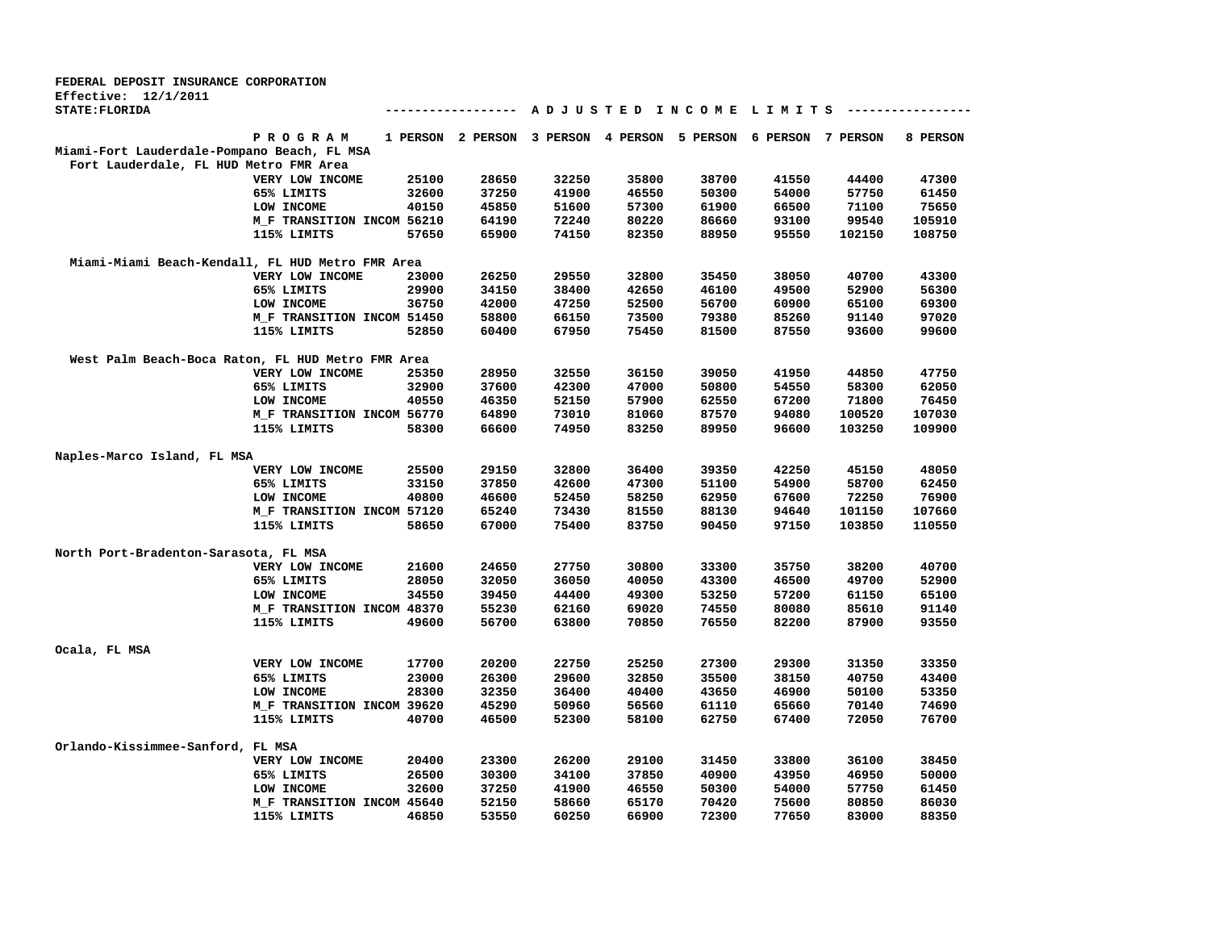| A D J U S T E D I N C O M E L I M I T S<br>--------------<br>--------------<br>P R O G R A M<br>1 PERSON 2 PERSON 3 PERSON 4 PERSON 5 PERSON 6 PERSON 7 PERSON<br>8 PERSON<br>Miami-Fort Lauderdale-Pompano Beach, FL MSA<br>Fort Lauderdale, FL HUD Metro FMR Area<br>25100<br>28650<br>32250<br>35800<br>38700<br>41550<br>47300<br>VERY LOW INCOME<br>44400<br>65% LIMITS<br>32600<br>37250<br>41900<br>46550<br>50300<br>54000<br>57750<br>61450<br>40150<br>57300<br>75650<br>LOW INCOME<br>45850<br>51600<br>61900<br>66500<br>71100<br>99540<br>105910<br>M_F TRANSITION INCOM 56210<br>64190<br>72240<br>80220<br>86660<br>93100<br>57650<br>65900<br>74150<br>82350<br>88950<br>95550<br>102150<br>108750<br>115% LIMITS<br>Miami-Miami Beach-Kendall, FL HUD Metro FMR Area<br>26250<br>29550<br>32800<br>35450<br>38050<br>40700<br>43300<br>VERY LOW INCOME<br>23000<br>34150<br>42650<br>46100<br>49500<br>52900<br>56300<br>65% LIMITS<br>29900<br>38400<br>LOW INCOME<br>36750<br>42000<br>47250<br>52500<br>56700<br>60900<br>65100<br>69300<br>58800<br>66150<br>73500<br>79380<br>85260<br>91140<br>97020<br>M_F TRANSITION INCOM 51450<br>67950<br>93600<br>99600<br>115% LIMITS<br>52850<br>60400<br>75450<br>81500<br>87550<br>West Palm Beach-Boca Raton, FL HUD Metro FMR Area<br>VERY LOW INCOME<br>28950<br>32550<br>36150<br>39050<br>41950<br>44850<br>47750<br>25350<br>65% LIMITS<br>32900<br>37600<br>42300<br>47000<br>50800<br>54550<br>58300<br>62050<br>40550<br>52150<br>57900<br>71800<br>76450<br>LOW INCOME<br>46350<br>62550<br>67200<br>M_F TRANSITION INCOM 56770<br>64890<br>73010<br>81060<br>87570<br>94080<br>100520<br>107030<br>83250<br>109900<br>115% LIMITS<br>58300<br>66600<br>74950<br>89950<br>96600<br>103250<br>Naples-Marco Island, FL MSA<br>48050<br>VERY LOW INCOME<br>25500<br>29150<br>32800<br>36400<br>39350<br>42250<br>45150<br>65% LIMITS<br>33150<br>37850<br>42600<br>47300<br>51100<br>54900<br>58700<br>62450<br>LOW INCOME<br>40800<br>46600<br>52450<br>58250<br>62950<br>67600<br>72250<br>76900<br>65240<br>73430<br>81550<br>88130<br>101150<br>107660<br>M_F TRANSITION INCOM 57120<br>94640<br>67000<br>75400<br>83750<br>90450<br>97150<br>103850<br>115% LIMITS<br>58650<br>110550<br>North Port-Bradenton-Sarasota, FL MSA<br>21600<br>30800<br>33300<br>40700<br>VERY LOW INCOME<br>24650<br>27750<br>35750<br>38200<br>28050<br>40050<br>43300<br>46500<br>49700<br>52900<br>65% LIMITS<br>32050<br>36050<br>LOW INCOME<br>34550<br>39450<br>44400<br>49300<br>53250<br>57200<br>61150<br>65100<br>55230<br>62160<br>69020<br>74550<br>80080<br>85610<br>91140<br>M_F TRANSITION INCOM 48370<br>115% LIMITS<br>49600<br>56700<br>63800<br>70850<br>76550<br>82200<br>87900<br>93550<br>25250<br>17700<br>20200<br>22750<br>27300<br>29300<br>31350<br>33350<br>VERY LOW INCOME<br>32850<br>65% LIMITS<br>23000<br>26300<br>29600<br>35500<br>38150<br>40750<br>43400<br>28300<br>LOW INCOME<br>32350<br>36400<br>40400<br>43650<br>46900<br>50100<br>53350<br>50960<br>M_F TRANSITION INCOM 39620<br>45290<br>56560<br>61110<br>65660<br>70140<br>74690<br>40700<br>46500<br>52300<br>58100<br>62750<br>67400<br>72050<br>76700<br>115% LIMITS<br>Orlando-Kissimmee-Sanford, FL MSA<br>20400<br>23300<br>26200<br>29100<br>31450<br>33800<br>36100<br>38450<br>VERY LOW INCOME<br>26500<br>30300<br>34100<br>37850<br>40900<br>43950<br>46950<br>50000<br>65% LIMITS<br>32600<br>37250<br>41900<br>46550<br>50300<br>54000<br>57750<br>61450<br>LOW INCOME<br>70420<br>M_F TRANSITION INCOM 45640<br>52150<br>58660<br>65170<br>75600<br>80850<br>86030<br>53550<br>60250<br>66900<br>72300<br>77650<br>83000<br>88350<br>115% LIMITS<br>46850 | FEDERAL DEPOSIT INSURANCE CORPORATION |  |  |  |  |  |
|-----------------------------------------------------------------------------------------------------------------------------------------------------------------------------------------------------------------------------------------------------------------------------------------------------------------------------------------------------------------------------------------------------------------------------------------------------------------------------------------------------------------------------------------------------------------------------------------------------------------------------------------------------------------------------------------------------------------------------------------------------------------------------------------------------------------------------------------------------------------------------------------------------------------------------------------------------------------------------------------------------------------------------------------------------------------------------------------------------------------------------------------------------------------------------------------------------------------------------------------------------------------------------------------------------------------------------------------------------------------------------------------------------------------------------------------------------------------------------------------------------------------------------------------------------------------------------------------------------------------------------------------------------------------------------------------------------------------------------------------------------------------------------------------------------------------------------------------------------------------------------------------------------------------------------------------------------------------------------------------------------------------------------------------------------------------------------------------------------------------------------------------------------------------------------------------------------------------------------------------------------------------------------------------------------------------------------------------------------------------------------------------------------------------------------------------------------------------------------------------------------------------------------------------------------------------------------------------------------------------------------------------------------------------------------------------------------------------------------------------------------------------------------------------------------------------------------------------------------------------------------------------------------------------------------------------------------------------------------------------------------------------------------------------------------------------------------------------------------------------------------------------------------------------------------------------------------------------------------------------------------------------------------------------------------------------------------------------------------------------------------------------------------------------------------------------------------------------------------------------------------------------------------------------------------------------------------------------------------------------------------------------------------------------------------------------------------------------------------------|---------------------------------------|--|--|--|--|--|
|                                                                                                                                                                                                                                                                                                                                                                                                                                                                                                                                                                                                                                                                                                                                                                                                                                                                                                                                                                                                                                                                                                                                                                                                                                                                                                                                                                                                                                                                                                                                                                                                                                                                                                                                                                                                                                                                                                                                                                                                                                                                                                                                                                                                                                                                                                                                                                                                                                                                                                                                                                                                                                                                                                                                                                                                                                                                                                                                                                                                                                                                                                                                                                                                                                                                                                                                                                                                                                                                                                                                                                                                                                                                                                                                   | Effective: $12/1/2011$                |  |  |  |  |  |
|                                                                                                                                                                                                                                                                                                                                                                                                                                                                                                                                                                                                                                                                                                                                                                                                                                                                                                                                                                                                                                                                                                                                                                                                                                                                                                                                                                                                                                                                                                                                                                                                                                                                                                                                                                                                                                                                                                                                                                                                                                                                                                                                                                                                                                                                                                                                                                                                                                                                                                                                                                                                                                                                                                                                                                                                                                                                                                                                                                                                                                                                                                                                                                                                                                                                                                                                                                                                                                                                                                                                                                                                                                                                                                                                   | STATE: FLORIDA                        |  |  |  |  |  |
|                                                                                                                                                                                                                                                                                                                                                                                                                                                                                                                                                                                                                                                                                                                                                                                                                                                                                                                                                                                                                                                                                                                                                                                                                                                                                                                                                                                                                                                                                                                                                                                                                                                                                                                                                                                                                                                                                                                                                                                                                                                                                                                                                                                                                                                                                                                                                                                                                                                                                                                                                                                                                                                                                                                                                                                                                                                                                                                                                                                                                                                                                                                                                                                                                                                                                                                                                                                                                                                                                                                                                                                                                                                                                                                                   |                                       |  |  |  |  |  |
|                                                                                                                                                                                                                                                                                                                                                                                                                                                                                                                                                                                                                                                                                                                                                                                                                                                                                                                                                                                                                                                                                                                                                                                                                                                                                                                                                                                                                                                                                                                                                                                                                                                                                                                                                                                                                                                                                                                                                                                                                                                                                                                                                                                                                                                                                                                                                                                                                                                                                                                                                                                                                                                                                                                                                                                                                                                                                                                                                                                                                                                                                                                                                                                                                                                                                                                                                                                                                                                                                                                                                                                                                                                                                                                                   |                                       |  |  |  |  |  |
|                                                                                                                                                                                                                                                                                                                                                                                                                                                                                                                                                                                                                                                                                                                                                                                                                                                                                                                                                                                                                                                                                                                                                                                                                                                                                                                                                                                                                                                                                                                                                                                                                                                                                                                                                                                                                                                                                                                                                                                                                                                                                                                                                                                                                                                                                                                                                                                                                                                                                                                                                                                                                                                                                                                                                                                                                                                                                                                                                                                                                                                                                                                                                                                                                                                                                                                                                                                                                                                                                                                                                                                                                                                                                                                                   |                                       |  |  |  |  |  |
|                                                                                                                                                                                                                                                                                                                                                                                                                                                                                                                                                                                                                                                                                                                                                                                                                                                                                                                                                                                                                                                                                                                                                                                                                                                                                                                                                                                                                                                                                                                                                                                                                                                                                                                                                                                                                                                                                                                                                                                                                                                                                                                                                                                                                                                                                                                                                                                                                                                                                                                                                                                                                                                                                                                                                                                                                                                                                                                                                                                                                                                                                                                                                                                                                                                                                                                                                                                                                                                                                                                                                                                                                                                                                                                                   |                                       |  |  |  |  |  |
|                                                                                                                                                                                                                                                                                                                                                                                                                                                                                                                                                                                                                                                                                                                                                                                                                                                                                                                                                                                                                                                                                                                                                                                                                                                                                                                                                                                                                                                                                                                                                                                                                                                                                                                                                                                                                                                                                                                                                                                                                                                                                                                                                                                                                                                                                                                                                                                                                                                                                                                                                                                                                                                                                                                                                                                                                                                                                                                                                                                                                                                                                                                                                                                                                                                                                                                                                                                                                                                                                                                                                                                                                                                                                                                                   |                                       |  |  |  |  |  |
|                                                                                                                                                                                                                                                                                                                                                                                                                                                                                                                                                                                                                                                                                                                                                                                                                                                                                                                                                                                                                                                                                                                                                                                                                                                                                                                                                                                                                                                                                                                                                                                                                                                                                                                                                                                                                                                                                                                                                                                                                                                                                                                                                                                                                                                                                                                                                                                                                                                                                                                                                                                                                                                                                                                                                                                                                                                                                                                                                                                                                                                                                                                                                                                                                                                                                                                                                                                                                                                                                                                                                                                                                                                                                                                                   |                                       |  |  |  |  |  |
|                                                                                                                                                                                                                                                                                                                                                                                                                                                                                                                                                                                                                                                                                                                                                                                                                                                                                                                                                                                                                                                                                                                                                                                                                                                                                                                                                                                                                                                                                                                                                                                                                                                                                                                                                                                                                                                                                                                                                                                                                                                                                                                                                                                                                                                                                                                                                                                                                                                                                                                                                                                                                                                                                                                                                                                                                                                                                                                                                                                                                                                                                                                                                                                                                                                                                                                                                                                                                                                                                                                                                                                                                                                                                                                                   |                                       |  |  |  |  |  |
|                                                                                                                                                                                                                                                                                                                                                                                                                                                                                                                                                                                                                                                                                                                                                                                                                                                                                                                                                                                                                                                                                                                                                                                                                                                                                                                                                                                                                                                                                                                                                                                                                                                                                                                                                                                                                                                                                                                                                                                                                                                                                                                                                                                                                                                                                                                                                                                                                                                                                                                                                                                                                                                                                                                                                                                                                                                                                                                                                                                                                                                                                                                                                                                                                                                                                                                                                                                                                                                                                                                                                                                                                                                                                                                                   |                                       |  |  |  |  |  |
|                                                                                                                                                                                                                                                                                                                                                                                                                                                                                                                                                                                                                                                                                                                                                                                                                                                                                                                                                                                                                                                                                                                                                                                                                                                                                                                                                                                                                                                                                                                                                                                                                                                                                                                                                                                                                                                                                                                                                                                                                                                                                                                                                                                                                                                                                                                                                                                                                                                                                                                                                                                                                                                                                                                                                                                                                                                                                                                                                                                                                                                                                                                                                                                                                                                                                                                                                                                                                                                                                                                                                                                                                                                                                                                                   |                                       |  |  |  |  |  |
|                                                                                                                                                                                                                                                                                                                                                                                                                                                                                                                                                                                                                                                                                                                                                                                                                                                                                                                                                                                                                                                                                                                                                                                                                                                                                                                                                                                                                                                                                                                                                                                                                                                                                                                                                                                                                                                                                                                                                                                                                                                                                                                                                                                                                                                                                                                                                                                                                                                                                                                                                                                                                                                                                                                                                                                                                                                                                                                                                                                                                                                                                                                                                                                                                                                                                                                                                                                                                                                                                                                                                                                                                                                                                                                                   |                                       |  |  |  |  |  |
|                                                                                                                                                                                                                                                                                                                                                                                                                                                                                                                                                                                                                                                                                                                                                                                                                                                                                                                                                                                                                                                                                                                                                                                                                                                                                                                                                                                                                                                                                                                                                                                                                                                                                                                                                                                                                                                                                                                                                                                                                                                                                                                                                                                                                                                                                                                                                                                                                                                                                                                                                                                                                                                                                                                                                                                                                                                                                                                                                                                                                                                                                                                                                                                                                                                                                                                                                                                                                                                                                                                                                                                                                                                                                                                                   |                                       |  |  |  |  |  |
|                                                                                                                                                                                                                                                                                                                                                                                                                                                                                                                                                                                                                                                                                                                                                                                                                                                                                                                                                                                                                                                                                                                                                                                                                                                                                                                                                                                                                                                                                                                                                                                                                                                                                                                                                                                                                                                                                                                                                                                                                                                                                                                                                                                                                                                                                                                                                                                                                                                                                                                                                                                                                                                                                                                                                                                                                                                                                                                                                                                                                                                                                                                                                                                                                                                                                                                                                                                                                                                                                                                                                                                                                                                                                                                                   |                                       |  |  |  |  |  |
|                                                                                                                                                                                                                                                                                                                                                                                                                                                                                                                                                                                                                                                                                                                                                                                                                                                                                                                                                                                                                                                                                                                                                                                                                                                                                                                                                                                                                                                                                                                                                                                                                                                                                                                                                                                                                                                                                                                                                                                                                                                                                                                                                                                                                                                                                                                                                                                                                                                                                                                                                                                                                                                                                                                                                                                                                                                                                                                                                                                                                                                                                                                                                                                                                                                                                                                                                                                                                                                                                                                                                                                                                                                                                                                                   |                                       |  |  |  |  |  |
|                                                                                                                                                                                                                                                                                                                                                                                                                                                                                                                                                                                                                                                                                                                                                                                                                                                                                                                                                                                                                                                                                                                                                                                                                                                                                                                                                                                                                                                                                                                                                                                                                                                                                                                                                                                                                                                                                                                                                                                                                                                                                                                                                                                                                                                                                                                                                                                                                                                                                                                                                                                                                                                                                                                                                                                                                                                                                                                                                                                                                                                                                                                                                                                                                                                                                                                                                                                                                                                                                                                                                                                                                                                                                                                                   |                                       |  |  |  |  |  |
|                                                                                                                                                                                                                                                                                                                                                                                                                                                                                                                                                                                                                                                                                                                                                                                                                                                                                                                                                                                                                                                                                                                                                                                                                                                                                                                                                                                                                                                                                                                                                                                                                                                                                                                                                                                                                                                                                                                                                                                                                                                                                                                                                                                                                                                                                                                                                                                                                                                                                                                                                                                                                                                                                                                                                                                                                                                                                                                                                                                                                                                                                                                                                                                                                                                                                                                                                                                                                                                                                                                                                                                                                                                                                                                                   |                                       |  |  |  |  |  |
|                                                                                                                                                                                                                                                                                                                                                                                                                                                                                                                                                                                                                                                                                                                                                                                                                                                                                                                                                                                                                                                                                                                                                                                                                                                                                                                                                                                                                                                                                                                                                                                                                                                                                                                                                                                                                                                                                                                                                                                                                                                                                                                                                                                                                                                                                                                                                                                                                                                                                                                                                                                                                                                                                                                                                                                                                                                                                                                                                                                                                                                                                                                                                                                                                                                                                                                                                                                                                                                                                                                                                                                                                                                                                                                                   |                                       |  |  |  |  |  |
|                                                                                                                                                                                                                                                                                                                                                                                                                                                                                                                                                                                                                                                                                                                                                                                                                                                                                                                                                                                                                                                                                                                                                                                                                                                                                                                                                                                                                                                                                                                                                                                                                                                                                                                                                                                                                                                                                                                                                                                                                                                                                                                                                                                                                                                                                                                                                                                                                                                                                                                                                                                                                                                                                                                                                                                                                                                                                                                                                                                                                                                                                                                                                                                                                                                                                                                                                                                                                                                                                                                                                                                                                                                                                                                                   |                                       |  |  |  |  |  |
|                                                                                                                                                                                                                                                                                                                                                                                                                                                                                                                                                                                                                                                                                                                                                                                                                                                                                                                                                                                                                                                                                                                                                                                                                                                                                                                                                                                                                                                                                                                                                                                                                                                                                                                                                                                                                                                                                                                                                                                                                                                                                                                                                                                                                                                                                                                                                                                                                                                                                                                                                                                                                                                                                                                                                                                                                                                                                                                                                                                                                                                                                                                                                                                                                                                                                                                                                                                                                                                                                                                                                                                                                                                                                                                                   |                                       |  |  |  |  |  |
|                                                                                                                                                                                                                                                                                                                                                                                                                                                                                                                                                                                                                                                                                                                                                                                                                                                                                                                                                                                                                                                                                                                                                                                                                                                                                                                                                                                                                                                                                                                                                                                                                                                                                                                                                                                                                                                                                                                                                                                                                                                                                                                                                                                                                                                                                                                                                                                                                                                                                                                                                                                                                                                                                                                                                                                                                                                                                                                                                                                                                                                                                                                                                                                                                                                                                                                                                                                                                                                                                                                                                                                                                                                                                                                                   |                                       |  |  |  |  |  |
|                                                                                                                                                                                                                                                                                                                                                                                                                                                                                                                                                                                                                                                                                                                                                                                                                                                                                                                                                                                                                                                                                                                                                                                                                                                                                                                                                                                                                                                                                                                                                                                                                                                                                                                                                                                                                                                                                                                                                                                                                                                                                                                                                                                                                                                                                                                                                                                                                                                                                                                                                                                                                                                                                                                                                                                                                                                                                                                                                                                                                                                                                                                                                                                                                                                                                                                                                                                                                                                                                                                                                                                                                                                                                                                                   |                                       |  |  |  |  |  |
|                                                                                                                                                                                                                                                                                                                                                                                                                                                                                                                                                                                                                                                                                                                                                                                                                                                                                                                                                                                                                                                                                                                                                                                                                                                                                                                                                                                                                                                                                                                                                                                                                                                                                                                                                                                                                                                                                                                                                                                                                                                                                                                                                                                                                                                                                                                                                                                                                                                                                                                                                                                                                                                                                                                                                                                                                                                                                                                                                                                                                                                                                                                                                                                                                                                                                                                                                                                                                                                                                                                                                                                                                                                                                                                                   |                                       |  |  |  |  |  |
|                                                                                                                                                                                                                                                                                                                                                                                                                                                                                                                                                                                                                                                                                                                                                                                                                                                                                                                                                                                                                                                                                                                                                                                                                                                                                                                                                                                                                                                                                                                                                                                                                                                                                                                                                                                                                                                                                                                                                                                                                                                                                                                                                                                                                                                                                                                                                                                                                                                                                                                                                                                                                                                                                                                                                                                                                                                                                                                                                                                                                                                                                                                                                                                                                                                                                                                                                                                                                                                                                                                                                                                                                                                                                                                                   |                                       |  |  |  |  |  |
|                                                                                                                                                                                                                                                                                                                                                                                                                                                                                                                                                                                                                                                                                                                                                                                                                                                                                                                                                                                                                                                                                                                                                                                                                                                                                                                                                                                                                                                                                                                                                                                                                                                                                                                                                                                                                                                                                                                                                                                                                                                                                                                                                                                                                                                                                                                                                                                                                                                                                                                                                                                                                                                                                                                                                                                                                                                                                                                                                                                                                                                                                                                                                                                                                                                                                                                                                                                                                                                                                                                                                                                                                                                                                                                                   |                                       |  |  |  |  |  |
|                                                                                                                                                                                                                                                                                                                                                                                                                                                                                                                                                                                                                                                                                                                                                                                                                                                                                                                                                                                                                                                                                                                                                                                                                                                                                                                                                                                                                                                                                                                                                                                                                                                                                                                                                                                                                                                                                                                                                                                                                                                                                                                                                                                                                                                                                                                                                                                                                                                                                                                                                                                                                                                                                                                                                                                                                                                                                                                                                                                                                                                                                                                                                                                                                                                                                                                                                                                                                                                                                                                                                                                                                                                                                                                                   |                                       |  |  |  |  |  |
|                                                                                                                                                                                                                                                                                                                                                                                                                                                                                                                                                                                                                                                                                                                                                                                                                                                                                                                                                                                                                                                                                                                                                                                                                                                                                                                                                                                                                                                                                                                                                                                                                                                                                                                                                                                                                                                                                                                                                                                                                                                                                                                                                                                                                                                                                                                                                                                                                                                                                                                                                                                                                                                                                                                                                                                                                                                                                                                                                                                                                                                                                                                                                                                                                                                                                                                                                                                                                                                                                                                                                                                                                                                                                                                                   |                                       |  |  |  |  |  |
|                                                                                                                                                                                                                                                                                                                                                                                                                                                                                                                                                                                                                                                                                                                                                                                                                                                                                                                                                                                                                                                                                                                                                                                                                                                                                                                                                                                                                                                                                                                                                                                                                                                                                                                                                                                                                                                                                                                                                                                                                                                                                                                                                                                                                                                                                                                                                                                                                                                                                                                                                                                                                                                                                                                                                                                                                                                                                                                                                                                                                                                                                                                                                                                                                                                                                                                                                                                                                                                                                                                                                                                                                                                                                                                                   |                                       |  |  |  |  |  |
|                                                                                                                                                                                                                                                                                                                                                                                                                                                                                                                                                                                                                                                                                                                                                                                                                                                                                                                                                                                                                                                                                                                                                                                                                                                                                                                                                                                                                                                                                                                                                                                                                                                                                                                                                                                                                                                                                                                                                                                                                                                                                                                                                                                                                                                                                                                                                                                                                                                                                                                                                                                                                                                                                                                                                                                                                                                                                                                                                                                                                                                                                                                                                                                                                                                                                                                                                                                                                                                                                                                                                                                                                                                                                                                                   |                                       |  |  |  |  |  |
|                                                                                                                                                                                                                                                                                                                                                                                                                                                                                                                                                                                                                                                                                                                                                                                                                                                                                                                                                                                                                                                                                                                                                                                                                                                                                                                                                                                                                                                                                                                                                                                                                                                                                                                                                                                                                                                                                                                                                                                                                                                                                                                                                                                                                                                                                                                                                                                                                                                                                                                                                                                                                                                                                                                                                                                                                                                                                                                                                                                                                                                                                                                                                                                                                                                                                                                                                                                                                                                                                                                                                                                                                                                                                                                                   |                                       |  |  |  |  |  |
|                                                                                                                                                                                                                                                                                                                                                                                                                                                                                                                                                                                                                                                                                                                                                                                                                                                                                                                                                                                                                                                                                                                                                                                                                                                                                                                                                                                                                                                                                                                                                                                                                                                                                                                                                                                                                                                                                                                                                                                                                                                                                                                                                                                                                                                                                                                                                                                                                                                                                                                                                                                                                                                                                                                                                                                                                                                                                                                                                                                                                                                                                                                                                                                                                                                                                                                                                                                                                                                                                                                                                                                                                                                                                                                                   |                                       |  |  |  |  |  |
|                                                                                                                                                                                                                                                                                                                                                                                                                                                                                                                                                                                                                                                                                                                                                                                                                                                                                                                                                                                                                                                                                                                                                                                                                                                                                                                                                                                                                                                                                                                                                                                                                                                                                                                                                                                                                                                                                                                                                                                                                                                                                                                                                                                                                                                                                                                                                                                                                                                                                                                                                                                                                                                                                                                                                                                                                                                                                                                                                                                                                                                                                                                                                                                                                                                                                                                                                                                                                                                                                                                                                                                                                                                                                                                                   |                                       |  |  |  |  |  |
|                                                                                                                                                                                                                                                                                                                                                                                                                                                                                                                                                                                                                                                                                                                                                                                                                                                                                                                                                                                                                                                                                                                                                                                                                                                                                                                                                                                                                                                                                                                                                                                                                                                                                                                                                                                                                                                                                                                                                                                                                                                                                                                                                                                                                                                                                                                                                                                                                                                                                                                                                                                                                                                                                                                                                                                                                                                                                                                                                                                                                                                                                                                                                                                                                                                                                                                                                                                                                                                                                                                                                                                                                                                                                                                                   |                                       |  |  |  |  |  |
|                                                                                                                                                                                                                                                                                                                                                                                                                                                                                                                                                                                                                                                                                                                                                                                                                                                                                                                                                                                                                                                                                                                                                                                                                                                                                                                                                                                                                                                                                                                                                                                                                                                                                                                                                                                                                                                                                                                                                                                                                                                                                                                                                                                                                                                                                                                                                                                                                                                                                                                                                                                                                                                                                                                                                                                                                                                                                                                                                                                                                                                                                                                                                                                                                                                                                                                                                                                                                                                                                                                                                                                                                                                                                                                                   |                                       |  |  |  |  |  |
|                                                                                                                                                                                                                                                                                                                                                                                                                                                                                                                                                                                                                                                                                                                                                                                                                                                                                                                                                                                                                                                                                                                                                                                                                                                                                                                                                                                                                                                                                                                                                                                                                                                                                                                                                                                                                                                                                                                                                                                                                                                                                                                                                                                                                                                                                                                                                                                                                                                                                                                                                                                                                                                                                                                                                                                                                                                                                                                                                                                                                                                                                                                                                                                                                                                                                                                                                                                                                                                                                                                                                                                                                                                                                                                                   | Ocala, FL MSA                         |  |  |  |  |  |
|                                                                                                                                                                                                                                                                                                                                                                                                                                                                                                                                                                                                                                                                                                                                                                                                                                                                                                                                                                                                                                                                                                                                                                                                                                                                                                                                                                                                                                                                                                                                                                                                                                                                                                                                                                                                                                                                                                                                                                                                                                                                                                                                                                                                                                                                                                                                                                                                                                                                                                                                                                                                                                                                                                                                                                                                                                                                                                                                                                                                                                                                                                                                                                                                                                                                                                                                                                                                                                                                                                                                                                                                                                                                                                                                   |                                       |  |  |  |  |  |
|                                                                                                                                                                                                                                                                                                                                                                                                                                                                                                                                                                                                                                                                                                                                                                                                                                                                                                                                                                                                                                                                                                                                                                                                                                                                                                                                                                                                                                                                                                                                                                                                                                                                                                                                                                                                                                                                                                                                                                                                                                                                                                                                                                                                                                                                                                                                                                                                                                                                                                                                                                                                                                                                                                                                                                                                                                                                                                                                                                                                                                                                                                                                                                                                                                                                                                                                                                                                                                                                                                                                                                                                                                                                                                                                   |                                       |  |  |  |  |  |
|                                                                                                                                                                                                                                                                                                                                                                                                                                                                                                                                                                                                                                                                                                                                                                                                                                                                                                                                                                                                                                                                                                                                                                                                                                                                                                                                                                                                                                                                                                                                                                                                                                                                                                                                                                                                                                                                                                                                                                                                                                                                                                                                                                                                                                                                                                                                                                                                                                                                                                                                                                                                                                                                                                                                                                                                                                                                                                                                                                                                                                                                                                                                                                                                                                                                                                                                                                                                                                                                                                                                                                                                                                                                                                                                   |                                       |  |  |  |  |  |
|                                                                                                                                                                                                                                                                                                                                                                                                                                                                                                                                                                                                                                                                                                                                                                                                                                                                                                                                                                                                                                                                                                                                                                                                                                                                                                                                                                                                                                                                                                                                                                                                                                                                                                                                                                                                                                                                                                                                                                                                                                                                                                                                                                                                                                                                                                                                                                                                                                                                                                                                                                                                                                                                                                                                                                                                                                                                                                                                                                                                                                                                                                                                                                                                                                                                                                                                                                                                                                                                                                                                                                                                                                                                                                                                   |                                       |  |  |  |  |  |
|                                                                                                                                                                                                                                                                                                                                                                                                                                                                                                                                                                                                                                                                                                                                                                                                                                                                                                                                                                                                                                                                                                                                                                                                                                                                                                                                                                                                                                                                                                                                                                                                                                                                                                                                                                                                                                                                                                                                                                                                                                                                                                                                                                                                                                                                                                                                                                                                                                                                                                                                                                                                                                                                                                                                                                                                                                                                                                                                                                                                                                                                                                                                                                                                                                                                                                                                                                                                                                                                                                                                                                                                                                                                                                                                   |                                       |  |  |  |  |  |
|                                                                                                                                                                                                                                                                                                                                                                                                                                                                                                                                                                                                                                                                                                                                                                                                                                                                                                                                                                                                                                                                                                                                                                                                                                                                                                                                                                                                                                                                                                                                                                                                                                                                                                                                                                                                                                                                                                                                                                                                                                                                                                                                                                                                                                                                                                                                                                                                                                                                                                                                                                                                                                                                                                                                                                                                                                                                                                                                                                                                                                                                                                                                                                                                                                                                                                                                                                                                                                                                                                                                                                                                                                                                                                                                   |                                       |  |  |  |  |  |
|                                                                                                                                                                                                                                                                                                                                                                                                                                                                                                                                                                                                                                                                                                                                                                                                                                                                                                                                                                                                                                                                                                                                                                                                                                                                                                                                                                                                                                                                                                                                                                                                                                                                                                                                                                                                                                                                                                                                                                                                                                                                                                                                                                                                                                                                                                                                                                                                                                                                                                                                                                                                                                                                                                                                                                                                                                                                                                                                                                                                                                                                                                                                                                                                                                                                                                                                                                                                                                                                                                                                                                                                                                                                                                                                   |                                       |  |  |  |  |  |
|                                                                                                                                                                                                                                                                                                                                                                                                                                                                                                                                                                                                                                                                                                                                                                                                                                                                                                                                                                                                                                                                                                                                                                                                                                                                                                                                                                                                                                                                                                                                                                                                                                                                                                                                                                                                                                                                                                                                                                                                                                                                                                                                                                                                                                                                                                                                                                                                                                                                                                                                                                                                                                                                                                                                                                                                                                                                                                                                                                                                                                                                                                                                                                                                                                                                                                                                                                                                                                                                                                                                                                                                                                                                                                                                   |                                       |  |  |  |  |  |
|                                                                                                                                                                                                                                                                                                                                                                                                                                                                                                                                                                                                                                                                                                                                                                                                                                                                                                                                                                                                                                                                                                                                                                                                                                                                                                                                                                                                                                                                                                                                                                                                                                                                                                                                                                                                                                                                                                                                                                                                                                                                                                                                                                                                                                                                                                                                                                                                                                                                                                                                                                                                                                                                                                                                                                                                                                                                                                                                                                                                                                                                                                                                                                                                                                                                                                                                                                                                                                                                                                                                                                                                                                                                                                                                   |                                       |  |  |  |  |  |
|                                                                                                                                                                                                                                                                                                                                                                                                                                                                                                                                                                                                                                                                                                                                                                                                                                                                                                                                                                                                                                                                                                                                                                                                                                                                                                                                                                                                                                                                                                                                                                                                                                                                                                                                                                                                                                                                                                                                                                                                                                                                                                                                                                                                                                                                                                                                                                                                                                                                                                                                                                                                                                                                                                                                                                                                                                                                                                                                                                                                                                                                                                                                                                                                                                                                                                                                                                                                                                                                                                                                                                                                                                                                                                                                   |                                       |  |  |  |  |  |
|                                                                                                                                                                                                                                                                                                                                                                                                                                                                                                                                                                                                                                                                                                                                                                                                                                                                                                                                                                                                                                                                                                                                                                                                                                                                                                                                                                                                                                                                                                                                                                                                                                                                                                                                                                                                                                                                                                                                                                                                                                                                                                                                                                                                                                                                                                                                                                                                                                                                                                                                                                                                                                                                                                                                                                                                                                                                                                                                                                                                                                                                                                                                                                                                                                                                                                                                                                                                                                                                                                                                                                                                                                                                                                                                   |                                       |  |  |  |  |  |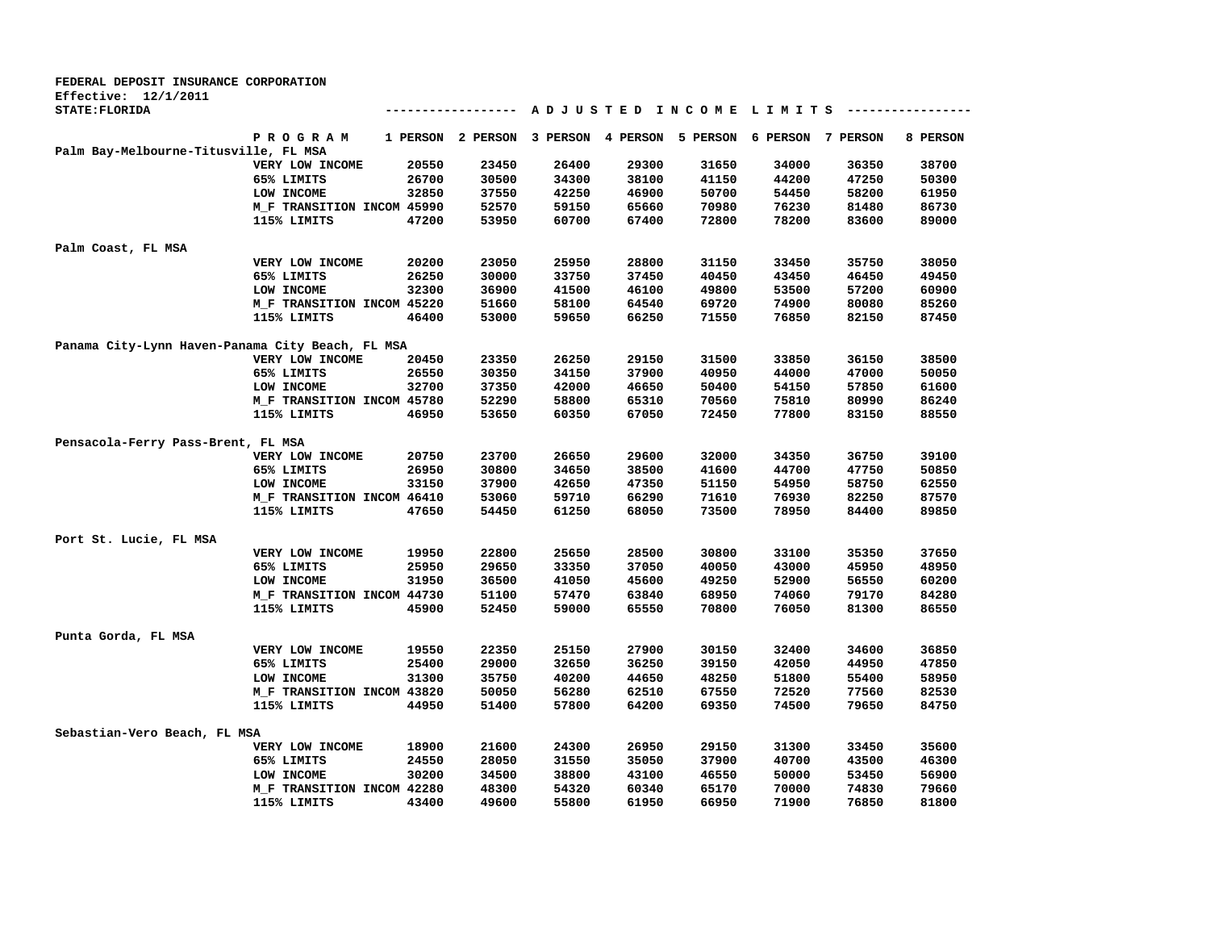| <b>FEDERAL DEPOSIT INSURANCE CORPORATION</b>     |                                           |          |                |                |                            |                        |                   |                |                |
|--------------------------------------------------|-------------------------------------------|----------|----------------|----------------|----------------------------|------------------------|-------------------|----------------|----------------|
| <b>Effective: 12/1/2011</b>                      |                                           |          |                |                |                            |                        |                   |                |                |
| STATE: FLORIDA                                   |                                           |          |                |                |                            | ADJUSTED INCOME LIMITS |                   |                |                |
|                                                  | <b>PROGRAM</b>                            | 1 PERSON | 2 PERSON       |                | 3 PERSON 4 PERSON 5 PERSON |                        | 6 PERSON 7 PERSON |                | 8 PERSON       |
| Palm Bay-Melbourne-Titusville, FL MSA            |                                           |          |                |                |                            |                        |                   |                |                |
|                                                  | VERY LOW INCOME                           | 20550    | 23450          | 26400          | 29300                      | 31650                  | 34000             | 36350          | 38700          |
|                                                  | 65% LIMITS                                | 26700    | 30500          | 34300          | 38100                      | 41150                  | 44200             | 47250          | 50300          |
|                                                  | LOW INCOME                                | 32850    | 37550          | 42250          | 46900                      | 50700                  | 54450             | 58200          | 61950          |
|                                                  | M_F TRANSITION INCOM 45990                |          | 52570          | 59150          | 65660                      | 70980                  | 76230             | 81480          | 86730          |
|                                                  | 115% LIMITS                               | 47200    | 53950          | 60700          | 67400                      | 72800                  | 78200             | 83600          | 89000          |
| Palm Coast, FL MSA                               |                                           |          |                |                |                            |                        |                   |                |                |
|                                                  | VERY LOW INCOME                           | 20200    | 23050          | 25950          | 28800                      | 31150                  | 33450             | 35750          | 38050          |
|                                                  | 65% LIMITS                                | 26250    | 30000          | 33750          | 37450                      | 40450                  | 43450             | 46450          | 49450          |
|                                                  | LOW INCOME                                | 32300    | 36900          | 41500          | 46100                      | 49800                  | 53500             | 57200          | 60900          |
|                                                  | M_F TRANSITION INCOM 45220                |          | 51660          | 58100          | 64540                      | 69720                  | 74900             | 80080          | 85260          |
|                                                  | 115% LIMITS                               | 46400    | 53000          | 59650          | 66250                      | 71550                  | 76850             | 82150          | 87450          |
| Panama City-Lynn Haven-Panama City Beach, FL MSA |                                           |          |                |                |                            |                        |                   |                |                |
|                                                  | VERY LOW INCOME                           | 20450    | 23350          | 26250          | 29150                      | 31500                  | 33850             | 36150          | 38500          |
|                                                  | 65% LIMITS                                | 26550    | 30350          | 34150          | 37900                      | 40950                  | 44000             | 47000          | 50050          |
|                                                  | LOW INCOME                                | 32700    | 37350          | 42000          | 46650                      | 50400                  | 54150             | 57850          | 61600          |
|                                                  | M_F TRANSITION INCOM 45780                |          | 52290          | 58800          | 65310                      | 70560                  | 75810             | 80990          | 86240          |
|                                                  | 115% LIMITS                               | 46950    | 53650          | 60350          | 67050                      | 72450                  | 77800             | 83150          | 88550          |
| Pensacola-Ferry Pass-Brent, FL MSA               |                                           |          |                |                |                            |                        |                   |                |                |
|                                                  | VERY LOW INCOME                           | 20750    | 23700          | 26650          | 29600                      | 32000                  | 34350             | 36750          | 39100          |
|                                                  | 65% LIMITS                                | 26950    | 30800          | 34650          | 38500                      | 41600                  | 44700             | 47750          | 50850          |
|                                                  | LOW INCOME                                | 33150    | 37900          | 42650          | 47350                      | 51150                  | 54950             | 58750          | 62550          |
|                                                  |                                           |          | 53060          | 59710          | 66290                      | 71610                  | 76930             | 82250          | 87570          |
|                                                  | M_F TRANSITION INCOM 46410<br>115% LIMITS | 47650    | 54450          | 61250          | 68050                      | 73500                  | 78950             | 84400          | 89850          |
|                                                  |                                           |          |                |                |                            |                        |                   |                |                |
| Port St. Lucie, FL MSA                           |                                           |          |                |                |                            |                        |                   |                |                |
|                                                  | VERY LOW INCOME                           | 19950    | 22800          | 25650          | 28500                      | 30800                  | 33100             | 35350          | 37650          |
|                                                  | 65% LIMITS                                | 25950    | 29650          | 33350          | 37050                      | 40050                  | 43000             | 45950          | 48950          |
|                                                  | LOW INCOME                                | 31950    | 36500          | 41050          | 45600                      | 49250                  | 52900             | 56550          | 60200          |
|                                                  | M F TRANSITION INCOM 44730<br>115% LIMITS | 45900    | 51100<br>52450 | 57470<br>59000 | 63840<br>65550             | 68950<br>70800         | 74060<br>76050    | 79170<br>81300 | 84280<br>86550 |
|                                                  |                                           |          |                |                |                            |                        |                   |                |                |
| Punta Gorda, FL MSA                              |                                           |          |                |                |                            |                        |                   |                |                |
|                                                  | VERY LOW INCOME                           | 19550    | 22350          | 25150          | 27900                      | 30150                  | 32400             | 34600          | 36850          |
|                                                  | 65% LIMITS                                | 25400    | 29000          | 32650          | 36250                      | 39150                  | 42050             | 44950          | 47850          |
|                                                  | LOW INCOME                                | 31300    | 35750          | 40200          | 44650                      | 48250                  | 51800             | 55400          | 58950          |
|                                                  | M_F TRANSITION INCOM 43820                |          | 50050          | 56280          | 62510                      | 67550                  | 72520             | 77560          | 82530          |
|                                                  | 115% LIMITS                               | 44950    | 51400          | 57800          | 64200                      | 69350                  | 74500             | 79650          | 84750          |
| Sebastian-Vero Beach, FL MSA                     |                                           |          |                |                |                            |                        |                   |                |                |
|                                                  | VERY LOW INCOME                           | 18900    | 21600          | 24300          | 26950                      | 29150                  | 31300             | 33450          | 35600          |
|                                                  | 65% LIMITS                                | 24550    | 28050          | 31550          | 35050                      | 37900                  | 40700             | 43500          | 46300          |
|                                                  | LOW INCOME                                | 30200    | 34500          | 38800          | 43100                      | 46550                  | 50000             | 53450          | 56900          |
|                                                  | M_F TRANSITION INCOM 42280                |          | 48300          | 54320          | 60340                      | 65170                  | 70000             | 74830          | 79660          |
|                                                  | 115% LIMITS                               | 43400    | 49600          | 55800          | 61950                      | 66950                  | 71900             | 76850          | 81800          |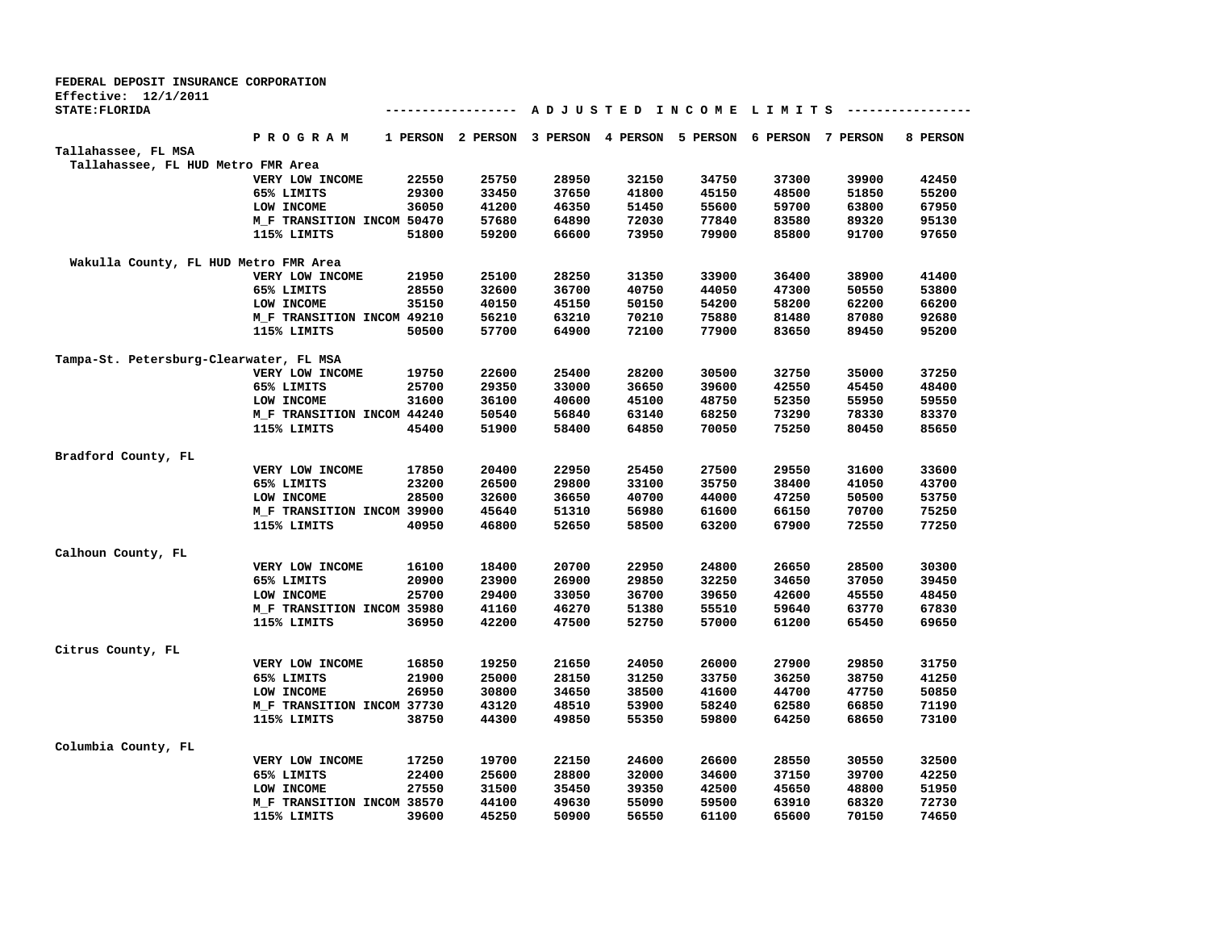| FEDERAL DEPOSIT INSURANCE CORPORATION   |                            |       |                   |          |                   |                        |          |          |          |
|-----------------------------------------|----------------------------|-------|-------------------|----------|-------------------|------------------------|----------|----------|----------|
| Effective: $12/1/2011$                  |                            |       |                   |          |                   |                        |          |          |          |
| <b>STATE: FLORIDA</b>                   |                            |       |                   |          |                   | ADJUSTED INCOME LIMITS |          |          |          |
|                                         | P R O G R A M              |       | 1 PERSON 2 PERSON | 3 PERSON | 4 PERSON 5 PERSON |                        | 6 PERSON | 7 PERSON | 8 PERSON |
| Tallahassee, FL MSA                     |                            |       |                   |          |                   |                        |          |          |          |
| Tallahassee, FL HUD Metro FMR Area      |                            |       |                   |          |                   |                        |          |          |          |
|                                         | VERY LOW INCOME            | 22550 | 25750             | 28950    | 32150             | 34750                  | 37300    | 39900    | 42450    |
|                                         | 65% LIMITS                 | 29300 | 33450             | 37650    | 41800             | 45150                  | 48500    | 51850    | 55200    |
|                                         | LOW INCOME                 | 36050 | 41200             | 46350    | 51450             | 55600                  | 59700    | 63800    | 67950    |
|                                         | M_F TRANSITION INCOM 50470 |       | 57680             | 64890    | 72030             | 77840                  | 83580    | 89320    | 95130    |
|                                         | 115% LIMITS                | 51800 | 59200             | 66600    | 73950             | 79900                  | 85800    | 91700    | 97650    |
| Wakulla County, FL HUD Metro FMR Area   |                            |       |                   |          |                   |                        |          |          |          |
|                                         | VERY LOW INCOME            | 21950 | 25100             | 28250    | 31350             | 33900                  | 36400    | 38900    | 41400    |
|                                         | 65% LIMITS                 | 28550 | 32600             | 36700    | 40750             | 44050                  | 47300    | 50550    | 53800    |
|                                         | LOW INCOME                 | 35150 | 40150             | 45150    | 50150             | 54200                  | 58200    | 62200    | 66200    |
|                                         | M_F TRANSITION INCOM 49210 |       | 56210             | 63210    | 70210             | 75880                  | 81480    | 87080    | 92680    |
|                                         | 115% LIMITS                | 50500 | 57700             | 64900    | 72100             | 77900                  | 83650    | 89450    | 95200    |
| Tampa-St. Petersburg-Clearwater, FL MSA |                            |       |                   |          |                   |                        |          |          |          |
|                                         | VERY LOW INCOME            | 19750 | 22600             | 25400    | 28200             | 30500                  | 32750    | 35000    | 37250    |
|                                         | 65% LIMITS                 | 25700 | 29350             | 33000    | 36650             | 39600                  | 42550    | 45450    | 48400    |
|                                         | LOW INCOME                 | 31600 | 36100             | 40600    | 45100             | 48750                  | 52350    | 55950    | 59550    |
|                                         | M_F TRANSITION INCOM 44240 |       | 50540             | 56840    | 63140             | 68250                  | 73290    | 78330    | 83370    |
|                                         | 115% LIMITS                | 45400 | 51900             | 58400    | 64850             | 70050                  | 75250    | 80450    | 85650    |
| Bradford County, FL                     |                            |       |                   |          |                   |                        |          |          |          |
|                                         | VERY LOW INCOME            | 17850 | 20400             | 22950    | 25450             | 27500                  | 29550    | 31600    | 33600    |
|                                         | 65% LIMITS                 | 23200 | 26500             | 29800    | 33100             | 35750                  | 38400    | 41050    | 43700    |
|                                         | LOW INCOME                 | 28500 | 32600             | 36650    | 40700             | 44000                  | 47250    | 50500    | 53750    |
|                                         | M_F TRANSITION INCOM 39900 |       | 45640             | 51310    | 56980             | 61600                  | 66150    | 70700    | 75250    |
|                                         | 115% LIMITS                | 40950 | 46800             | 52650    | 58500             | 63200                  | 67900    | 72550    | 77250    |
| Calhoun County, FL                      |                            |       |                   |          |                   |                        |          |          |          |
|                                         | VERY LOW INCOME            | 16100 | 18400             | 20700    | 22950             | 24800                  | 26650    | 28500    | 30300    |
|                                         | 65% LIMITS                 | 20900 | 23900             | 26900    | 29850             | 32250                  | 34650    | 37050    | 39450    |
|                                         | LOW INCOME                 | 25700 | 29400             | 33050    | 36700             | 39650                  | 42600    | 45550    | 48450    |
|                                         | M_F TRANSITION INCOM 35980 |       | 41160             | 46270    | 51380             | 55510                  | 59640    | 63770    | 67830    |
|                                         | 115% LIMITS                | 36950 | 42200             | 47500    | 52750             | 57000                  | 61200    | 65450    | 69650    |
| Citrus County, FL                       |                            |       |                   |          |                   |                        |          |          |          |
|                                         | VERY LOW INCOME            | 16850 | 19250             | 21650    | 24050             | 26000                  | 27900    | 29850    | 31750    |
|                                         | 65% LIMITS                 | 21900 | 25000             | 28150    | 31250             | 33750                  | 36250    | 38750    | 41250    |
|                                         | LOW INCOME                 | 26950 | 30800             | 34650    | 38500             | 41600                  | 44700    | 47750    | 50850    |
|                                         | M_F TRANSITION INCOM 37730 |       | 43120             | 48510    | 53900             | 58240                  | 62580    | 66850    | 71190    |
|                                         | 115% LIMITS                | 38750 | 44300             | 49850    | 55350             | 59800                  | 64250    | 68650    | 73100    |
| Columbia County, FL                     |                            |       |                   |          |                   |                        |          |          |          |
|                                         | VERY LOW INCOME            | 17250 | 19700             | 22150    | 24600             | 26600                  | 28550    | 30550    | 32500    |
|                                         | 65% LIMITS                 | 22400 | 25600             | 28800    | 32000             | 34600                  | 37150    | 39700    | 42250    |
|                                         | LOW INCOME                 | 27550 | 31500             | 35450    | 39350             | 42500                  | 45650    | 48800    | 51950    |
|                                         | M F TRANSITION INCOM 38570 |       | 44100             | 49630    | 55090             | 59500                  | 63910    | 68320    | 72730    |
|                                         | 115% LIMITS                | 39600 | 45250             | 50900    | 56550             | 61100                  | 65600    | 70150    | 74650    |
|                                         |                            |       |                   |          |                   |                        |          |          |          |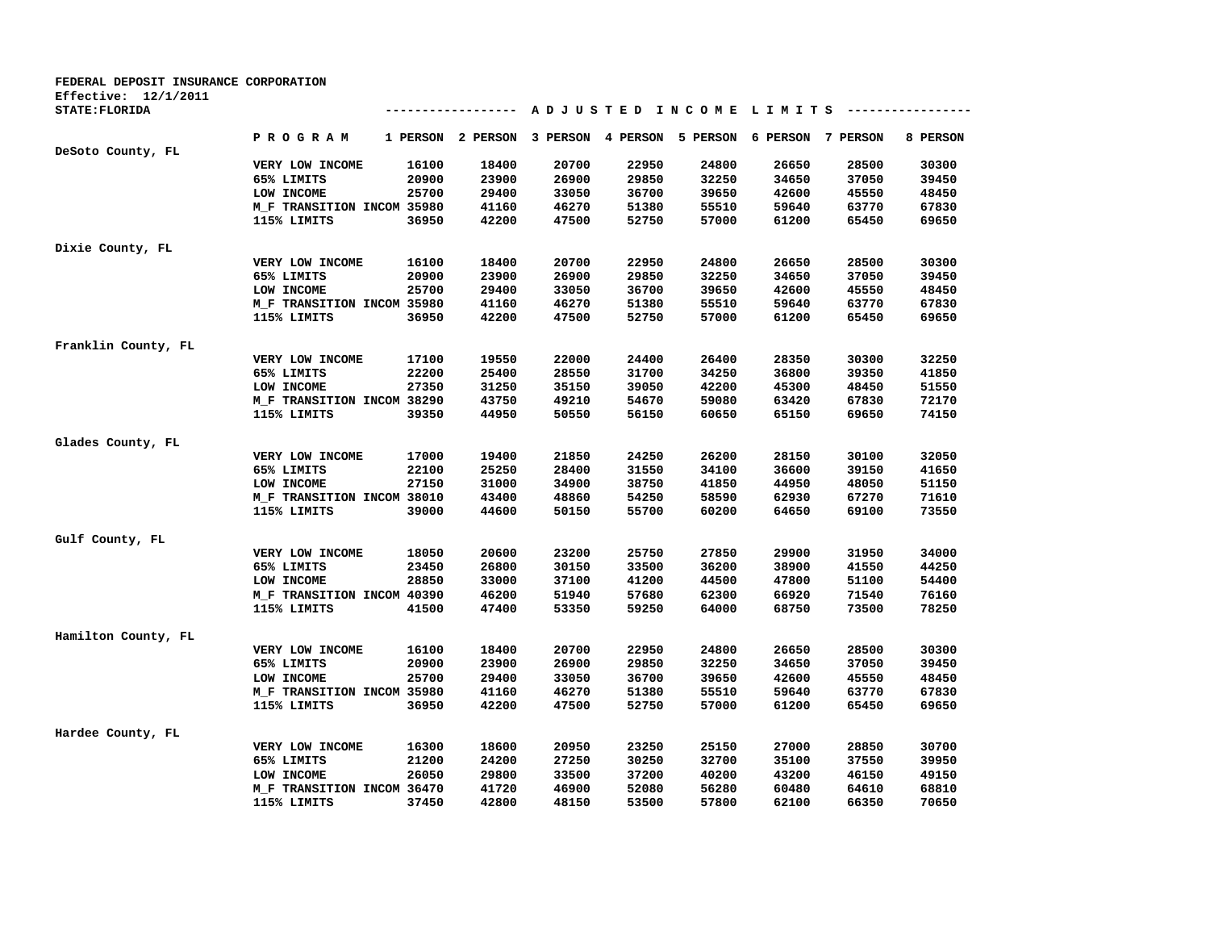| FEDERAL DEPOSIT INSURANCE CORPORATION |                                           |          |          |          |                   |                                         |                   |       |          |
|---------------------------------------|-------------------------------------------|----------|----------|----------|-------------------|-----------------------------------------|-------------------|-------|----------|
| Effective: $12/1/2011$                |                                           |          |          |          |                   |                                         |                   |       |          |
| STATE: FLORIDA                        |                                           |          |          |          |                   | A D J U S T E D I N C O M E L I M I T S |                   |       |          |
|                                       | P R O G R A M                             | 1 PERSON | 2 PERSON | 3 PERSON | 4 PERSON 5 PERSON |                                         | 6 PERSON 7 PERSON |       | 8 PERSON |
| DeSoto County, FL                     |                                           |          |          |          |                   |                                         |                   |       |          |
|                                       | VERY LOW INCOME                           | 16100    | 18400    | 20700    | 22950             | 24800                                   | 26650             | 28500 | 30300    |
|                                       | 65% LIMITS                                | 20900    | 23900    | 26900    | 29850             | 32250                                   | 34650             | 37050 | 39450    |
|                                       | LOW INCOME                                | 25700    | 29400    | 33050    | 36700             | 39650                                   | 42600             | 45550 | 48450    |
|                                       | M_F TRANSITION INCOM 35980                |          | 41160    | 46270    | 51380             | 55510                                   | 59640             | 63770 | 67830    |
|                                       | 115% LIMITS                               | 36950    | 42200    | 47500    | 52750             | 57000                                   | 61200             | 65450 | 69650    |
| Dixie County, FL                      |                                           |          |          |          |                   |                                         |                   |       |          |
|                                       | VERY LOW INCOME                           | 16100    | 18400    | 20700    | 22950             | 24800                                   | 26650             | 28500 | 30300    |
|                                       | 65% LIMITS                                | 20900    | 23900    | 26900    | 29850             | 32250                                   | 34650             | 37050 | 39450    |
|                                       | LOW INCOME                                | 25700    | 29400    | 33050    | 36700             | 39650                                   | 42600             | 45550 | 48450    |
|                                       | M_F TRANSITION INCOM 35980                |          | 41160    | 46270    | 51380             | 55510                                   | 59640             | 63770 | 67830    |
|                                       | 115% LIMITS                               | 36950    | 42200    | 47500    | 52750             | 57000                                   | 61200             | 65450 | 69650    |
| Franklin County, FL                   |                                           |          |          |          |                   |                                         |                   |       |          |
|                                       | VERY LOW INCOME                           | 17100    | 19550    | 22000    | 24400             | 26400                                   | 28350             | 30300 | 32250    |
|                                       | 65% LIMITS                                | 22200    | 25400    | 28550    | 31700             | 34250                                   | 36800             | 39350 | 41850    |
|                                       | LOW INCOME                                | 27350    | 31250    | 35150    | 39050             | 42200                                   | 45300             | 48450 | 51550    |
|                                       | M_F TRANSITION INCOM 38290                |          | 43750    | 49210    | 54670             | 59080                                   | 63420             | 67830 | 72170    |
|                                       | 115% LIMITS                               | 39350    | 44950    | 50550    | 56150             | 60650                                   | 65150             | 69650 | 74150    |
| Glades County, FL                     |                                           |          |          |          |                   |                                         |                   |       |          |
|                                       | VERY LOW INCOME                           | 17000    | 19400    | 21850    | 24250             | 26200                                   | 28150             | 30100 | 32050    |
|                                       | 65% LIMITS                                | 22100    | 25250    | 28400    | 31550             | 34100                                   | 36600             | 39150 | 41650    |
|                                       | LOW INCOME                                | 27150    | 31000    | 34900    | 38750             | 41850                                   | 44950             | 48050 | 51150    |
|                                       | M_F TRANSITION INCOM 38010                |          | 43400    | 48860    | 54250             | 58590                                   | 62930             | 67270 | 71610    |
|                                       | 115% LIMITS                               | 39000    | 44600    | 50150    | 55700             | 60200                                   | 64650             | 69100 | 73550    |
| Gulf County, FL                       |                                           |          |          |          |                   |                                         |                   |       |          |
|                                       | VERY LOW INCOME                           | 18050    | 20600    | 23200    | 25750             | 27850                                   | 29900             | 31950 | 34000    |
|                                       | 65% LIMITS                                | 23450    | 26800    | 30150    | 33500             | 36200                                   | 38900             | 41550 | 44250    |
|                                       | LOW INCOME                                | 28850    | 33000    | 37100    | 41200             | 44500                                   | 47800             | 51100 | 54400    |
|                                       |                                           |          | 46200    | 51940    | 57680             | 62300                                   | 66920             | 71540 | 76160    |
|                                       | M_F TRANSITION INCOM 40390<br>115% LIMITS | 41500    | 47400    | 53350    | 59250             | 64000                                   | 68750             | 73500 | 78250    |
|                                       |                                           |          |          |          |                   |                                         |                   |       |          |
| Hamilton County, FL                   |                                           |          |          |          |                   |                                         |                   |       |          |
|                                       | VERY LOW INCOME                           | 16100    | 18400    | 20700    | 22950             | 24800                                   | 26650             | 28500 | 30300    |
|                                       | 65% LIMITS                                | 20900    | 23900    | 26900    | 29850             | 32250                                   | 34650             | 37050 | 39450    |
|                                       | LOW INCOME                                | 25700    | 29400    | 33050    | 36700             | 39650                                   | 42600             | 45550 | 48450    |
|                                       | M_F TRANSITION INCOM 35980                |          | 41160    | 46270    | 51380             | 55510                                   | 59640             | 63770 | 67830    |
|                                       | 115% LIMITS                               | 36950    | 42200    | 47500    | 52750             | 57000                                   | 61200             | 65450 | 69650    |
| Hardee County, FL                     |                                           |          |          |          |                   |                                         |                   |       |          |
|                                       | VERY LOW INCOME                           | 16300    | 18600    | 20950    | 23250             | 25150                                   | 27000             | 28850 | 30700    |
|                                       | 65% LIMITS                                | 21200    | 24200    | 27250    | 30250             | 32700                                   | 35100             | 37550 | 39950    |
|                                       | LOW INCOME                                | 26050    | 29800    | 33500    | 37200             | 40200                                   | 43200             | 46150 | 49150    |
|                                       | M_F TRANSITION INCOM 36470                |          | 41720    | 46900    | 52080             | 56280                                   | 60480             | 64610 | 68810    |
|                                       | 115% LIMITS                               | 37450    | 42800    | 48150    | 53500             | 57800                                   | 62100             | 66350 | 70650    |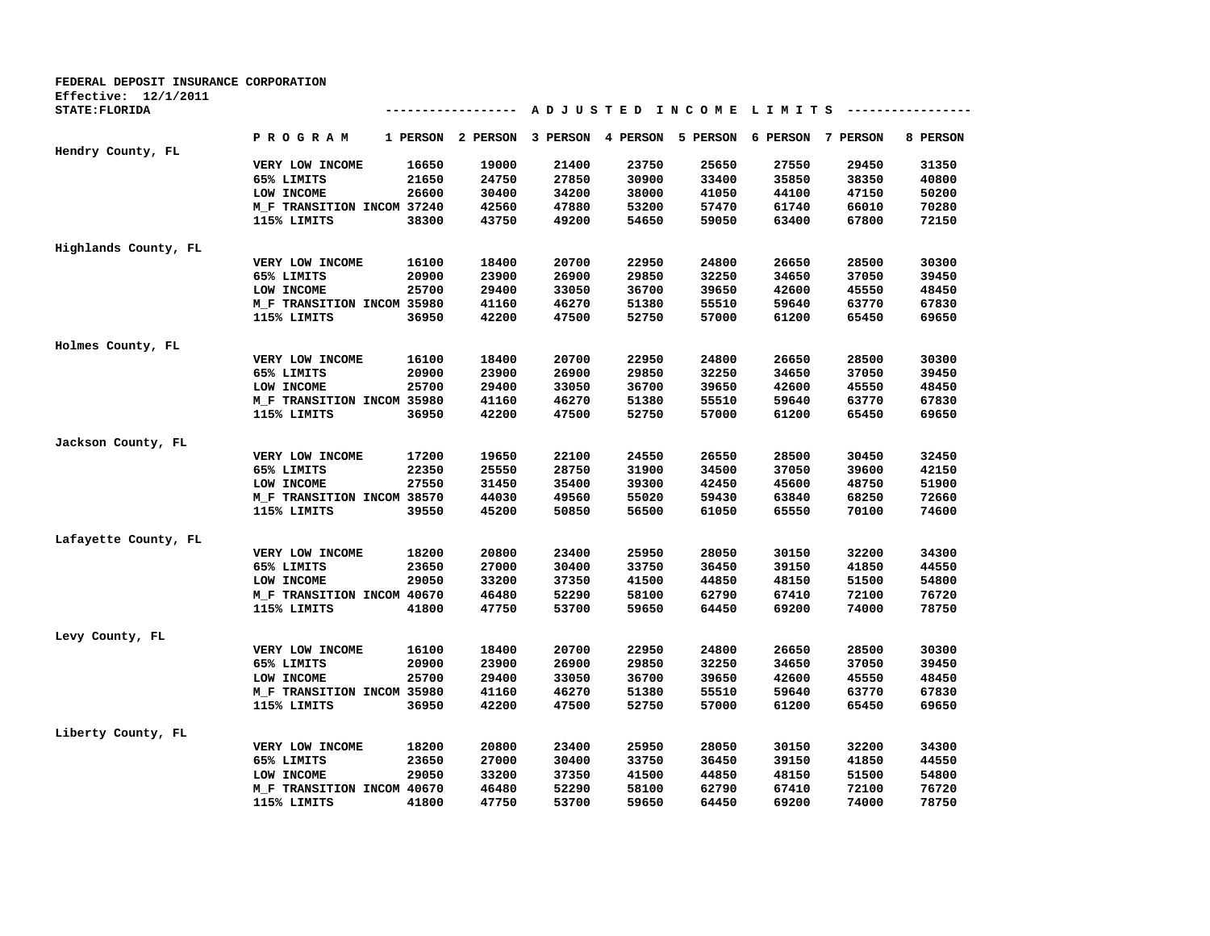| A D J U S T E D I N C O M E L I M I T S ----------------<br>---------------<br>PROGRAM<br>1 PERSON 2 PERSON 3 PERSON 4 PERSON 5 PERSON<br><b>6 PERSON</b><br>7 PERSON<br>8 PERSON<br>16650<br>19000<br>21400<br>23750<br>25650<br>27550<br>29450<br>31350<br>VERY LOW INCOME<br>21650<br>24750<br>27850<br>30900<br>40800<br>65% LIMITS<br>33400<br>35850<br>38350<br>26600<br>34200<br>41050<br>50200<br>LOW INCOME<br>30400<br>38000<br>44100<br>47150<br>M_F TRANSITION INCOM 37240<br>47880<br>53200<br>57470<br>61740<br>66010<br>70280<br>42560<br>115% LIMITS<br>38300<br>43750<br>49200<br>54650<br>59050<br>63400<br>67800<br>72150<br>20700<br>22950<br>24800<br>30300<br>VERY LOW INCOME<br>16100<br>18400<br>26650<br>28500<br>65% LIMITS<br>20900<br>23900<br>26900<br>29850<br>32250<br>34650<br>37050<br>39450<br>LOW INCOME<br>25700<br>29400<br>33050<br>36700<br>39650<br>42600<br>45550<br>48450<br>55510<br>63770<br>M_F TRANSITION INCOM 35980<br>41160<br>46270<br>51380<br>59640<br>67830<br>36950<br>42200<br>47500<br>52750<br>57000<br>61200<br>65450<br>69650<br>115% LIMITS<br>VERY LOW INCOME<br>16100<br>18400<br>20700<br>22950<br>24800<br>26650<br>28500<br>30300<br>65% LIMITS<br>20900<br>23900<br>26900<br>29850<br>32250<br>34650<br>37050<br>39450<br>LOW INCOME<br>25700<br>29400<br>33050<br>36700<br>39650<br>42600<br>45550<br>48450<br>M_F TRANSITION INCOM 35980<br>41160<br>46270<br>51380<br>55510<br>59640<br>63770<br>67830<br>36950<br>42200<br>47500<br>52750<br>57000<br>61200<br>65450<br>69650<br>115% LIMITS<br>22100<br>24550<br>26550<br>28500<br>32450<br>VERY LOW INCOME<br>17200<br>19650<br>30450<br>65% LIMITS<br>22350<br>25550<br>28750<br>31900<br>34500<br>37050<br>39600<br>42150<br>27550<br>31450<br>35400<br>39300<br>42450<br>45600<br>48750<br>51900<br>LOW INCOME<br>M_F TRANSITION INCOM 38570<br>44030<br>49560<br>55020<br>59430<br>63840<br>68250<br>72660<br>39550<br>45200<br>50850<br>56500<br>61050<br>65550<br>70100<br>74600<br>115% LIMITS<br>25950<br>28050<br>18200<br>20800<br>23400<br>30150<br>32200<br>34300<br>VERY LOW INCOME<br>23650<br>27000<br>30400<br>33750<br>36450<br>39150<br>41850<br>44550<br>65% LIMITS<br>29050<br>37350<br>41500<br>LOW INCOME<br>33200<br>44850<br>48150<br>51500<br>54800<br>52290<br>62790<br>76720<br>M F TRANSITION INCOM 40670<br>46480<br>58100<br>67410<br>72100<br>115% LIMITS<br>41800<br>47750<br>53700<br>59650<br>64450<br>69200<br>74000<br>78750<br>22950<br>24800<br>VERY LOW INCOME<br>16100<br>18400<br>20700<br>26650<br>28500<br>30300<br>23900<br>32250<br>65% LIMITS<br>20900<br>26900<br>29850<br>34650<br>37050<br>39450<br>LOW INCOME<br>25700<br>29400<br>33050<br>36700<br>39650<br>42600<br>45550<br>48450<br>M_F TRANSITION INCOM 35980<br>41160<br>46270<br>51380<br>55510<br>59640<br>63770<br>67830<br>36950<br>42200<br>47500<br>52750<br>57000<br>61200<br>65450<br>69650<br>115% LIMITS<br>VERY LOW INCOME<br>18200<br>20800<br>23400<br>25950<br>28050<br>30150<br>32200<br>34300<br>23650<br>27000<br>30400<br>33750<br>36450<br>39150<br>41850<br>44550<br>65% LIMITS<br>29050<br>33200<br>37350<br>41500<br>44850<br>48150<br>51500<br>54800<br>LOW INCOME<br>M_F TRANSITION INCOM 40670<br>52290<br>58100<br>62790<br>67410<br>72100<br>76720<br>46480<br>115% LIMITS<br>41800<br>47750<br>53700<br>59650<br>64450<br>69200<br>74000<br>78750 | FEDERAL DEPOSIT INSURANCE CORPORATION<br>Effective: 12/1/2011 |  |  |  |  |  |
|----------------------------------------------------------------------------------------------------------------------------------------------------------------------------------------------------------------------------------------------------------------------------------------------------------------------------------------------------------------------------------------------------------------------------------------------------------------------------------------------------------------------------------------------------------------------------------------------------------------------------------------------------------------------------------------------------------------------------------------------------------------------------------------------------------------------------------------------------------------------------------------------------------------------------------------------------------------------------------------------------------------------------------------------------------------------------------------------------------------------------------------------------------------------------------------------------------------------------------------------------------------------------------------------------------------------------------------------------------------------------------------------------------------------------------------------------------------------------------------------------------------------------------------------------------------------------------------------------------------------------------------------------------------------------------------------------------------------------------------------------------------------------------------------------------------------------------------------------------------------------------------------------------------------------------------------------------------------------------------------------------------------------------------------------------------------------------------------------------------------------------------------------------------------------------------------------------------------------------------------------------------------------------------------------------------------------------------------------------------------------------------------------------------------------------------------------------------------------------------------------------------------------------------------------------------------------------------------------------------------------------------------------------------------------------------------------------------------------------------------------------------------------------------------------------------------------------------------------------------------------------------------------------------------------------------------------------------------------------------------------------------------------------------------------------------------------------------------------------------------------------------------------------------------------------------------------------------------------------------------------------------------------------------------------------------------------------------------------------------------------------------------------------------|---------------------------------------------------------------|--|--|--|--|--|
|                                                                                                                                                                                                                                                                                                                                                                                                                                                                                                                                                                                                                                                                                                                                                                                                                                                                                                                                                                                                                                                                                                                                                                                                                                                                                                                                                                                                                                                                                                                                                                                                                                                                                                                                                                                                                                                                                                                                                                                                                                                                                                                                                                                                                                                                                                                                                                                                                                                                                                                                                                                                                                                                                                                                                                                                                                                                                                                                                                                                                                                                                                                                                                                                                                                                                                                                                                                                                | STATE: FLORIDA                                                |  |  |  |  |  |
|                                                                                                                                                                                                                                                                                                                                                                                                                                                                                                                                                                                                                                                                                                                                                                                                                                                                                                                                                                                                                                                                                                                                                                                                                                                                                                                                                                                                                                                                                                                                                                                                                                                                                                                                                                                                                                                                                                                                                                                                                                                                                                                                                                                                                                                                                                                                                                                                                                                                                                                                                                                                                                                                                                                                                                                                                                                                                                                                                                                                                                                                                                                                                                                                                                                                                                                                                                                                                |                                                               |  |  |  |  |  |
|                                                                                                                                                                                                                                                                                                                                                                                                                                                                                                                                                                                                                                                                                                                                                                                                                                                                                                                                                                                                                                                                                                                                                                                                                                                                                                                                                                                                                                                                                                                                                                                                                                                                                                                                                                                                                                                                                                                                                                                                                                                                                                                                                                                                                                                                                                                                                                                                                                                                                                                                                                                                                                                                                                                                                                                                                                                                                                                                                                                                                                                                                                                                                                                                                                                                                                                                                                                                                | Hendry County, FL                                             |  |  |  |  |  |
|                                                                                                                                                                                                                                                                                                                                                                                                                                                                                                                                                                                                                                                                                                                                                                                                                                                                                                                                                                                                                                                                                                                                                                                                                                                                                                                                                                                                                                                                                                                                                                                                                                                                                                                                                                                                                                                                                                                                                                                                                                                                                                                                                                                                                                                                                                                                                                                                                                                                                                                                                                                                                                                                                                                                                                                                                                                                                                                                                                                                                                                                                                                                                                                                                                                                                                                                                                                                                |                                                               |  |  |  |  |  |
|                                                                                                                                                                                                                                                                                                                                                                                                                                                                                                                                                                                                                                                                                                                                                                                                                                                                                                                                                                                                                                                                                                                                                                                                                                                                                                                                                                                                                                                                                                                                                                                                                                                                                                                                                                                                                                                                                                                                                                                                                                                                                                                                                                                                                                                                                                                                                                                                                                                                                                                                                                                                                                                                                                                                                                                                                                                                                                                                                                                                                                                                                                                                                                                                                                                                                                                                                                                                                |                                                               |  |  |  |  |  |
|                                                                                                                                                                                                                                                                                                                                                                                                                                                                                                                                                                                                                                                                                                                                                                                                                                                                                                                                                                                                                                                                                                                                                                                                                                                                                                                                                                                                                                                                                                                                                                                                                                                                                                                                                                                                                                                                                                                                                                                                                                                                                                                                                                                                                                                                                                                                                                                                                                                                                                                                                                                                                                                                                                                                                                                                                                                                                                                                                                                                                                                                                                                                                                                                                                                                                                                                                                                                                |                                                               |  |  |  |  |  |
|                                                                                                                                                                                                                                                                                                                                                                                                                                                                                                                                                                                                                                                                                                                                                                                                                                                                                                                                                                                                                                                                                                                                                                                                                                                                                                                                                                                                                                                                                                                                                                                                                                                                                                                                                                                                                                                                                                                                                                                                                                                                                                                                                                                                                                                                                                                                                                                                                                                                                                                                                                                                                                                                                                                                                                                                                                                                                                                                                                                                                                                                                                                                                                                                                                                                                                                                                                                                                |                                                               |  |  |  |  |  |
|                                                                                                                                                                                                                                                                                                                                                                                                                                                                                                                                                                                                                                                                                                                                                                                                                                                                                                                                                                                                                                                                                                                                                                                                                                                                                                                                                                                                                                                                                                                                                                                                                                                                                                                                                                                                                                                                                                                                                                                                                                                                                                                                                                                                                                                                                                                                                                                                                                                                                                                                                                                                                                                                                                                                                                                                                                                                                                                                                                                                                                                                                                                                                                                                                                                                                                                                                                                                                |                                                               |  |  |  |  |  |
|                                                                                                                                                                                                                                                                                                                                                                                                                                                                                                                                                                                                                                                                                                                                                                                                                                                                                                                                                                                                                                                                                                                                                                                                                                                                                                                                                                                                                                                                                                                                                                                                                                                                                                                                                                                                                                                                                                                                                                                                                                                                                                                                                                                                                                                                                                                                                                                                                                                                                                                                                                                                                                                                                                                                                                                                                                                                                                                                                                                                                                                                                                                                                                                                                                                                                                                                                                                                                | Highlands County, FL                                          |  |  |  |  |  |
|                                                                                                                                                                                                                                                                                                                                                                                                                                                                                                                                                                                                                                                                                                                                                                                                                                                                                                                                                                                                                                                                                                                                                                                                                                                                                                                                                                                                                                                                                                                                                                                                                                                                                                                                                                                                                                                                                                                                                                                                                                                                                                                                                                                                                                                                                                                                                                                                                                                                                                                                                                                                                                                                                                                                                                                                                                                                                                                                                                                                                                                                                                                                                                                                                                                                                                                                                                                                                |                                                               |  |  |  |  |  |
|                                                                                                                                                                                                                                                                                                                                                                                                                                                                                                                                                                                                                                                                                                                                                                                                                                                                                                                                                                                                                                                                                                                                                                                                                                                                                                                                                                                                                                                                                                                                                                                                                                                                                                                                                                                                                                                                                                                                                                                                                                                                                                                                                                                                                                                                                                                                                                                                                                                                                                                                                                                                                                                                                                                                                                                                                                                                                                                                                                                                                                                                                                                                                                                                                                                                                                                                                                                                                |                                                               |  |  |  |  |  |
|                                                                                                                                                                                                                                                                                                                                                                                                                                                                                                                                                                                                                                                                                                                                                                                                                                                                                                                                                                                                                                                                                                                                                                                                                                                                                                                                                                                                                                                                                                                                                                                                                                                                                                                                                                                                                                                                                                                                                                                                                                                                                                                                                                                                                                                                                                                                                                                                                                                                                                                                                                                                                                                                                                                                                                                                                                                                                                                                                                                                                                                                                                                                                                                                                                                                                                                                                                                                                |                                                               |  |  |  |  |  |
|                                                                                                                                                                                                                                                                                                                                                                                                                                                                                                                                                                                                                                                                                                                                                                                                                                                                                                                                                                                                                                                                                                                                                                                                                                                                                                                                                                                                                                                                                                                                                                                                                                                                                                                                                                                                                                                                                                                                                                                                                                                                                                                                                                                                                                                                                                                                                                                                                                                                                                                                                                                                                                                                                                                                                                                                                                                                                                                                                                                                                                                                                                                                                                                                                                                                                                                                                                                                                |                                                               |  |  |  |  |  |
|                                                                                                                                                                                                                                                                                                                                                                                                                                                                                                                                                                                                                                                                                                                                                                                                                                                                                                                                                                                                                                                                                                                                                                                                                                                                                                                                                                                                                                                                                                                                                                                                                                                                                                                                                                                                                                                                                                                                                                                                                                                                                                                                                                                                                                                                                                                                                                                                                                                                                                                                                                                                                                                                                                                                                                                                                                                                                                                                                                                                                                                                                                                                                                                                                                                                                                                                                                                                                |                                                               |  |  |  |  |  |
|                                                                                                                                                                                                                                                                                                                                                                                                                                                                                                                                                                                                                                                                                                                                                                                                                                                                                                                                                                                                                                                                                                                                                                                                                                                                                                                                                                                                                                                                                                                                                                                                                                                                                                                                                                                                                                                                                                                                                                                                                                                                                                                                                                                                                                                                                                                                                                                                                                                                                                                                                                                                                                                                                                                                                                                                                                                                                                                                                                                                                                                                                                                                                                                                                                                                                                                                                                                                                | Holmes County, FL                                             |  |  |  |  |  |
|                                                                                                                                                                                                                                                                                                                                                                                                                                                                                                                                                                                                                                                                                                                                                                                                                                                                                                                                                                                                                                                                                                                                                                                                                                                                                                                                                                                                                                                                                                                                                                                                                                                                                                                                                                                                                                                                                                                                                                                                                                                                                                                                                                                                                                                                                                                                                                                                                                                                                                                                                                                                                                                                                                                                                                                                                                                                                                                                                                                                                                                                                                                                                                                                                                                                                                                                                                                                                |                                                               |  |  |  |  |  |
|                                                                                                                                                                                                                                                                                                                                                                                                                                                                                                                                                                                                                                                                                                                                                                                                                                                                                                                                                                                                                                                                                                                                                                                                                                                                                                                                                                                                                                                                                                                                                                                                                                                                                                                                                                                                                                                                                                                                                                                                                                                                                                                                                                                                                                                                                                                                                                                                                                                                                                                                                                                                                                                                                                                                                                                                                                                                                                                                                                                                                                                                                                                                                                                                                                                                                                                                                                                                                |                                                               |  |  |  |  |  |
|                                                                                                                                                                                                                                                                                                                                                                                                                                                                                                                                                                                                                                                                                                                                                                                                                                                                                                                                                                                                                                                                                                                                                                                                                                                                                                                                                                                                                                                                                                                                                                                                                                                                                                                                                                                                                                                                                                                                                                                                                                                                                                                                                                                                                                                                                                                                                                                                                                                                                                                                                                                                                                                                                                                                                                                                                                                                                                                                                                                                                                                                                                                                                                                                                                                                                                                                                                                                                |                                                               |  |  |  |  |  |
|                                                                                                                                                                                                                                                                                                                                                                                                                                                                                                                                                                                                                                                                                                                                                                                                                                                                                                                                                                                                                                                                                                                                                                                                                                                                                                                                                                                                                                                                                                                                                                                                                                                                                                                                                                                                                                                                                                                                                                                                                                                                                                                                                                                                                                                                                                                                                                                                                                                                                                                                                                                                                                                                                                                                                                                                                                                                                                                                                                                                                                                                                                                                                                                                                                                                                                                                                                                                                |                                                               |  |  |  |  |  |
|                                                                                                                                                                                                                                                                                                                                                                                                                                                                                                                                                                                                                                                                                                                                                                                                                                                                                                                                                                                                                                                                                                                                                                                                                                                                                                                                                                                                                                                                                                                                                                                                                                                                                                                                                                                                                                                                                                                                                                                                                                                                                                                                                                                                                                                                                                                                                                                                                                                                                                                                                                                                                                                                                                                                                                                                                                                                                                                                                                                                                                                                                                                                                                                                                                                                                                                                                                                                                |                                                               |  |  |  |  |  |
|                                                                                                                                                                                                                                                                                                                                                                                                                                                                                                                                                                                                                                                                                                                                                                                                                                                                                                                                                                                                                                                                                                                                                                                                                                                                                                                                                                                                                                                                                                                                                                                                                                                                                                                                                                                                                                                                                                                                                                                                                                                                                                                                                                                                                                                                                                                                                                                                                                                                                                                                                                                                                                                                                                                                                                                                                                                                                                                                                                                                                                                                                                                                                                                                                                                                                                                                                                                                                | Jackson County, FL                                            |  |  |  |  |  |
|                                                                                                                                                                                                                                                                                                                                                                                                                                                                                                                                                                                                                                                                                                                                                                                                                                                                                                                                                                                                                                                                                                                                                                                                                                                                                                                                                                                                                                                                                                                                                                                                                                                                                                                                                                                                                                                                                                                                                                                                                                                                                                                                                                                                                                                                                                                                                                                                                                                                                                                                                                                                                                                                                                                                                                                                                                                                                                                                                                                                                                                                                                                                                                                                                                                                                                                                                                                                                |                                                               |  |  |  |  |  |
|                                                                                                                                                                                                                                                                                                                                                                                                                                                                                                                                                                                                                                                                                                                                                                                                                                                                                                                                                                                                                                                                                                                                                                                                                                                                                                                                                                                                                                                                                                                                                                                                                                                                                                                                                                                                                                                                                                                                                                                                                                                                                                                                                                                                                                                                                                                                                                                                                                                                                                                                                                                                                                                                                                                                                                                                                                                                                                                                                                                                                                                                                                                                                                                                                                                                                                                                                                                                                |                                                               |  |  |  |  |  |
|                                                                                                                                                                                                                                                                                                                                                                                                                                                                                                                                                                                                                                                                                                                                                                                                                                                                                                                                                                                                                                                                                                                                                                                                                                                                                                                                                                                                                                                                                                                                                                                                                                                                                                                                                                                                                                                                                                                                                                                                                                                                                                                                                                                                                                                                                                                                                                                                                                                                                                                                                                                                                                                                                                                                                                                                                                                                                                                                                                                                                                                                                                                                                                                                                                                                                                                                                                                                                |                                                               |  |  |  |  |  |
|                                                                                                                                                                                                                                                                                                                                                                                                                                                                                                                                                                                                                                                                                                                                                                                                                                                                                                                                                                                                                                                                                                                                                                                                                                                                                                                                                                                                                                                                                                                                                                                                                                                                                                                                                                                                                                                                                                                                                                                                                                                                                                                                                                                                                                                                                                                                                                                                                                                                                                                                                                                                                                                                                                                                                                                                                                                                                                                                                                                                                                                                                                                                                                                                                                                                                                                                                                                                                |                                                               |  |  |  |  |  |
|                                                                                                                                                                                                                                                                                                                                                                                                                                                                                                                                                                                                                                                                                                                                                                                                                                                                                                                                                                                                                                                                                                                                                                                                                                                                                                                                                                                                                                                                                                                                                                                                                                                                                                                                                                                                                                                                                                                                                                                                                                                                                                                                                                                                                                                                                                                                                                                                                                                                                                                                                                                                                                                                                                                                                                                                                                                                                                                                                                                                                                                                                                                                                                                                                                                                                                                                                                                                                |                                                               |  |  |  |  |  |
|                                                                                                                                                                                                                                                                                                                                                                                                                                                                                                                                                                                                                                                                                                                                                                                                                                                                                                                                                                                                                                                                                                                                                                                                                                                                                                                                                                                                                                                                                                                                                                                                                                                                                                                                                                                                                                                                                                                                                                                                                                                                                                                                                                                                                                                                                                                                                                                                                                                                                                                                                                                                                                                                                                                                                                                                                                                                                                                                                                                                                                                                                                                                                                                                                                                                                                                                                                                                                | Lafayette County, FL                                          |  |  |  |  |  |
|                                                                                                                                                                                                                                                                                                                                                                                                                                                                                                                                                                                                                                                                                                                                                                                                                                                                                                                                                                                                                                                                                                                                                                                                                                                                                                                                                                                                                                                                                                                                                                                                                                                                                                                                                                                                                                                                                                                                                                                                                                                                                                                                                                                                                                                                                                                                                                                                                                                                                                                                                                                                                                                                                                                                                                                                                                                                                                                                                                                                                                                                                                                                                                                                                                                                                                                                                                                                                |                                                               |  |  |  |  |  |
|                                                                                                                                                                                                                                                                                                                                                                                                                                                                                                                                                                                                                                                                                                                                                                                                                                                                                                                                                                                                                                                                                                                                                                                                                                                                                                                                                                                                                                                                                                                                                                                                                                                                                                                                                                                                                                                                                                                                                                                                                                                                                                                                                                                                                                                                                                                                                                                                                                                                                                                                                                                                                                                                                                                                                                                                                                                                                                                                                                                                                                                                                                                                                                                                                                                                                                                                                                                                                |                                                               |  |  |  |  |  |
|                                                                                                                                                                                                                                                                                                                                                                                                                                                                                                                                                                                                                                                                                                                                                                                                                                                                                                                                                                                                                                                                                                                                                                                                                                                                                                                                                                                                                                                                                                                                                                                                                                                                                                                                                                                                                                                                                                                                                                                                                                                                                                                                                                                                                                                                                                                                                                                                                                                                                                                                                                                                                                                                                                                                                                                                                                                                                                                                                                                                                                                                                                                                                                                                                                                                                                                                                                                                                |                                                               |  |  |  |  |  |
|                                                                                                                                                                                                                                                                                                                                                                                                                                                                                                                                                                                                                                                                                                                                                                                                                                                                                                                                                                                                                                                                                                                                                                                                                                                                                                                                                                                                                                                                                                                                                                                                                                                                                                                                                                                                                                                                                                                                                                                                                                                                                                                                                                                                                                                                                                                                                                                                                                                                                                                                                                                                                                                                                                                                                                                                                                                                                                                                                                                                                                                                                                                                                                                                                                                                                                                                                                                                                |                                                               |  |  |  |  |  |
|                                                                                                                                                                                                                                                                                                                                                                                                                                                                                                                                                                                                                                                                                                                                                                                                                                                                                                                                                                                                                                                                                                                                                                                                                                                                                                                                                                                                                                                                                                                                                                                                                                                                                                                                                                                                                                                                                                                                                                                                                                                                                                                                                                                                                                                                                                                                                                                                                                                                                                                                                                                                                                                                                                                                                                                                                                                                                                                                                                                                                                                                                                                                                                                                                                                                                                                                                                                                                |                                                               |  |  |  |  |  |
|                                                                                                                                                                                                                                                                                                                                                                                                                                                                                                                                                                                                                                                                                                                                                                                                                                                                                                                                                                                                                                                                                                                                                                                                                                                                                                                                                                                                                                                                                                                                                                                                                                                                                                                                                                                                                                                                                                                                                                                                                                                                                                                                                                                                                                                                                                                                                                                                                                                                                                                                                                                                                                                                                                                                                                                                                                                                                                                                                                                                                                                                                                                                                                                                                                                                                                                                                                                                                | Levy County, FL                                               |  |  |  |  |  |
|                                                                                                                                                                                                                                                                                                                                                                                                                                                                                                                                                                                                                                                                                                                                                                                                                                                                                                                                                                                                                                                                                                                                                                                                                                                                                                                                                                                                                                                                                                                                                                                                                                                                                                                                                                                                                                                                                                                                                                                                                                                                                                                                                                                                                                                                                                                                                                                                                                                                                                                                                                                                                                                                                                                                                                                                                                                                                                                                                                                                                                                                                                                                                                                                                                                                                                                                                                                                                |                                                               |  |  |  |  |  |
|                                                                                                                                                                                                                                                                                                                                                                                                                                                                                                                                                                                                                                                                                                                                                                                                                                                                                                                                                                                                                                                                                                                                                                                                                                                                                                                                                                                                                                                                                                                                                                                                                                                                                                                                                                                                                                                                                                                                                                                                                                                                                                                                                                                                                                                                                                                                                                                                                                                                                                                                                                                                                                                                                                                                                                                                                                                                                                                                                                                                                                                                                                                                                                                                                                                                                                                                                                                                                |                                                               |  |  |  |  |  |
|                                                                                                                                                                                                                                                                                                                                                                                                                                                                                                                                                                                                                                                                                                                                                                                                                                                                                                                                                                                                                                                                                                                                                                                                                                                                                                                                                                                                                                                                                                                                                                                                                                                                                                                                                                                                                                                                                                                                                                                                                                                                                                                                                                                                                                                                                                                                                                                                                                                                                                                                                                                                                                                                                                                                                                                                                                                                                                                                                                                                                                                                                                                                                                                                                                                                                                                                                                                                                |                                                               |  |  |  |  |  |
|                                                                                                                                                                                                                                                                                                                                                                                                                                                                                                                                                                                                                                                                                                                                                                                                                                                                                                                                                                                                                                                                                                                                                                                                                                                                                                                                                                                                                                                                                                                                                                                                                                                                                                                                                                                                                                                                                                                                                                                                                                                                                                                                                                                                                                                                                                                                                                                                                                                                                                                                                                                                                                                                                                                                                                                                                                                                                                                                                                                                                                                                                                                                                                                                                                                                                                                                                                                                                |                                                               |  |  |  |  |  |
|                                                                                                                                                                                                                                                                                                                                                                                                                                                                                                                                                                                                                                                                                                                                                                                                                                                                                                                                                                                                                                                                                                                                                                                                                                                                                                                                                                                                                                                                                                                                                                                                                                                                                                                                                                                                                                                                                                                                                                                                                                                                                                                                                                                                                                                                                                                                                                                                                                                                                                                                                                                                                                                                                                                                                                                                                                                                                                                                                                                                                                                                                                                                                                                                                                                                                                                                                                                                                |                                                               |  |  |  |  |  |
|                                                                                                                                                                                                                                                                                                                                                                                                                                                                                                                                                                                                                                                                                                                                                                                                                                                                                                                                                                                                                                                                                                                                                                                                                                                                                                                                                                                                                                                                                                                                                                                                                                                                                                                                                                                                                                                                                                                                                                                                                                                                                                                                                                                                                                                                                                                                                                                                                                                                                                                                                                                                                                                                                                                                                                                                                                                                                                                                                                                                                                                                                                                                                                                                                                                                                                                                                                                                                | Liberty County, FL                                            |  |  |  |  |  |
|                                                                                                                                                                                                                                                                                                                                                                                                                                                                                                                                                                                                                                                                                                                                                                                                                                                                                                                                                                                                                                                                                                                                                                                                                                                                                                                                                                                                                                                                                                                                                                                                                                                                                                                                                                                                                                                                                                                                                                                                                                                                                                                                                                                                                                                                                                                                                                                                                                                                                                                                                                                                                                                                                                                                                                                                                                                                                                                                                                                                                                                                                                                                                                                                                                                                                                                                                                                                                |                                                               |  |  |  |  |  |
|                                                                                                                                                                                                                                                                                                                                                                                                                                                                                                                                                                                                                                                                                                                                                                                                                                                                                                                                                                                                                                                                                                                                                                                                                                                                                                                                                                                                                                                                                                                                                                                                                                                                                                                                                                                                                                                                                                                                                                                                                                                                                                                                                                                                                                                                                                                                                                                                                                                                                                                                                                                                                                                                                                                                                                                                                                                                                                                                                                                                                                                                                                                                                                                                                                                                                                                                                                                                                |                                                               |  |  |  |  |  |
|                                                                                                                                                                                                                                                                                                                                                                                                                                                                                                                                                                                                                                                                                                                                                                                                                                                                                                                                                                                                                                                                                                                                                                                                                                                                                                                                                                                                                                                                                                                                                                                                                                                                                                                                                                                                                                                                                                                                                                                                                                                                                                                                                                                                                                                                                                                                                                                                                                                                                                                                                                                                                                                                                                                                                                                                                                                                                                                                                                                                                                                                                                                                                                                                                                                                                                                                                                                                                |                                                               |  |  |  |  |  |
|                                                                                                                                                                                                                                                                                                                                                                                                                                                                                                                                                                                                                                                                                                                                                                                                                                                                                                                                                                                                                                                                                                                                                                                                                                                                                                                                                                                                                                                                                                                                                                                                                                                                                                                                                                                                                                                                                                                                                                                                                                                                                                                                                                                                                                                                                                                                                                                                                                                                                                                                                                                                                                                                                                                                                                                                                                                                                                                                                                                                                                                                                                                                                                                                                                                                                                                                                                                                                |                                                               |  |  |  |  |  |
|                                                                                                                                                                                                                                                                                                                                                                                                                                                                                                                                                                                                                                                                                                                                                                                                                                                                                                                                                                                                                                                                                                                                                                                                                                                                                                                                                                                                                                                                                                                                                                                                                                                                                                                                                                                                                                                                                                                                                                                                                                                                                                                                                                                                                                                                                                                                                                                                                                                                                                                                                                                                                                                                                                                                                                                                                                                                                                                                                                                                                                                                                                                                                                                                                                                                                                                                                                                                                |                                                               |  |  |  |  |  |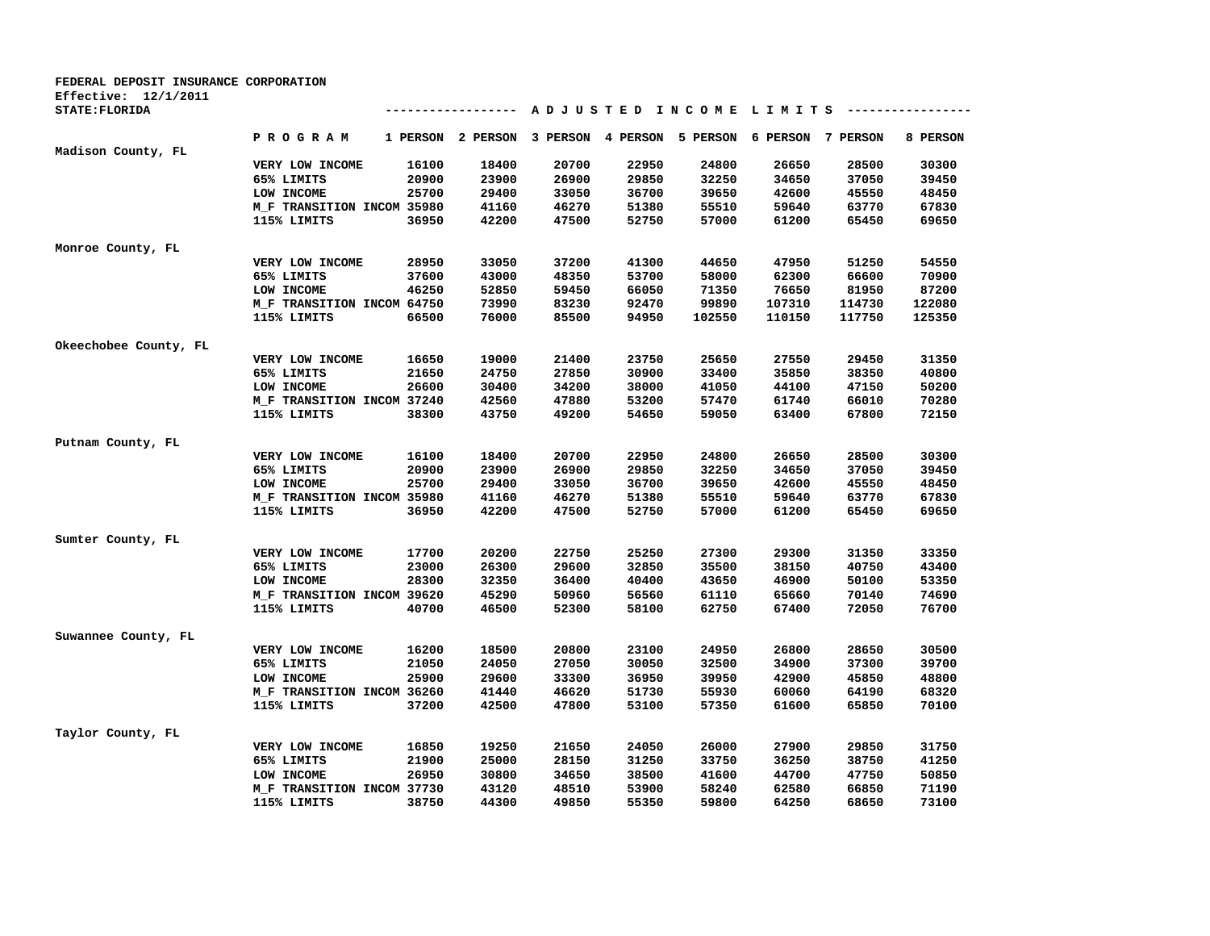| FEDERAL DEPOSIT INSURANCE CORPORATION |                                           |          |                 |          |          |                        |          |          |          |
|---------------------------------------|-------------------------------------------|----------|-----------------|----------|----------|------------------------|----------|----------|----------|
| Effective: $12/1/2011$                |                                           |          |                 |          |          |                        |          |          |          |
| STATE: FLORIDA                        |                                           |          | --------------- |          |          | ADJUSTED INCOME LIMITS |          |          |          |
|                                       | PROGRAM                                   | 1 PERSON | 2 PERSON        | 3 PERSON | 4 PERSON | 5 PERSON               | 6 PERSON | 7 PERSON | 8 PERSON |
| Madison County, FL                    |                                           |          |                 |          |          |                        |          |          |          |
|                                       | VERY LOW INCOME                           | 16100    | 18400           | 20700    | 22950    | 24800                  | 26650    | 28500    | 30300    |
|                                       | 65% LIMITS                                | 20900    | 23900           | 26900    | 29850    | 32250                  | 34650    | 37050    | 39450    |
|                                       | LOW INCOME                                | 25700    | 29400           | 33050    | 36700    | 39650                  | 42600    | 45550    | 48450    |
|                                       | M_F TRANSITION INCOM 35980                |          | 41160           | 46270    | 51380    | 55510                  | 59640    | 63770    | 67830    |
|                                       | 115% LIMITS                               | 36950    | 42200           | 47500    | 52750    | 57000                  | 61200    | 65450    | 69650    |
| Monroe County, FL                     |                                           |          |                 |          |          |                        |          |          |          |
|                                       | VERY LOW INCOME                           | 28950    | 33050           | 37200    | 41300    | 44650                  | 47950    | 51250    | 54550    |
|                                       | 65% LIMITS                                | 37600    | 43000           | 48350    | 53700    | 58000                  | 62300    | 66600    | 70900    |
|                                       | LOW INCOME                                | 46250    | 52850           | 59450    | 66050    | 71350                  | 76650    | 81950    | 87200    |
|                                       | M_F TRANSITION INCOM 64750                |          | 73990           | 83230    | 92470    | 99890                  | 107310   | 114730   | 122080   |
|                                       | 115% LIMITS                               | 66500    | 76000           | 85500    | 94950    | 102550                 | 110150   | 117750   | 125350   |
| Okeechobee County, FL                 |                                           |          |                 |          |          |                        |          |          |          |
|                                       | VERY LOW INCOME                           | 16650    | 19000           | 21400    | 23750    | 25650                  | 27550    | 29450    | 31350    |
|                                       | 65% LIMITS                                | 21650    | 24750           | 27850    | 30900    | 33400                  | 35850    | 38350    | 40800    |
|                                       | LOW INCOME                                | 26600    | 30400           | 34200    | 38000    | 41050                  | 44100    | 47150    | 50200    |
|                                       | M_F TRANSITION INCOM 37240                |          | 42560           | 47880    | 53200    | 57470                  | 61740    | 66010    | 70280    |
|                                       | 115% LIMITS                               | 38300    | 43750           | 49200    | 54650    | 59050                  | 63400    | 67800    | 72150    |
| Putnam County, FL                     |                                           |          |                 |          |          |                        |          |          |          |
|                                       | VERY LOW INCOME                           | 16100    | 18400           | 20700    | 22950    | 24800                  | 26650    | 28500    | 30300    |
|                                       | 65% LIMITS                                | 20900    | 23900           | 26900    | 29850    | 32250                  | 34650    | 37050    | 39450    |
|                                       | LOW INCOME                                | 25700    | 29400           | 33050    | 36700    | 39650                  | 42600    | 45550    | 48450    |
|                                       |                                           |          | 41160           | 46270    | 51380    | 55510                  | 59640    | 63770    | 67830    |
|                                       | M_F TRANSITION INCOM 35980<br>115% LIMITS | 36950    | 42200           | 47500    | 52750    | 57000                  | 61200    | 65450    | 69650    |
|                                       |                                           |          |                 |          |          |                        |          |          |          |
| Sumter County, FL                     |                                           |          |                 |          |          |                        |          |          |          |
|                                       | VERY LOW INCOME                           | 17700    | 20200           | 22750    | 25250    | 27300                  | 29300    | 31350    | 33350    |
|                                       | 65% LIMITS                                | 23000    | 26300           | 29600    | 32850    | 35500                  | 38150    | 40750    | 43400    |
|                                       | LOW INCOME                                | 28300    | 32350           | 36400    | 40400    | 43650                  | 46900    | 50100    | 53350    |
|                                       | M F TRANSITION INCOM 39620                |          | 45290           | 50960    | 56560    | 61110                  | 65660    | 70140    | 74690    |
|                                       | 115% LIMITS                               | 40700    | 46500           | 52300    | 58100    | 62750                  | 67400    | 72050    | 76700    |
| Suwannee County, FL                   |                                           |          |                 |          |          |                        |          |          |          |
|                                       | VERY LOW INCOME                           | 16200    | 18500           | 20800    | 23100    | 24950                  | 26800    | 28650    | 30500    |
|                                       | 65% LIMITS                                | 21050    | 24050           | 27050    | 30050    | 32500                  | 34900    | 37300    | 39700    |
|                                       | LOW INCOME                                | 25900    | 29600           | 33300    | 36950    | 39950                  | 42900    | 45850    | 48800    |
|                                       | M_F TRANSITION INCOM 36260                |          | 41440           | 46620    | 51730    | 55930                  | 60060    | 64190    | 68320    |
|                                       | 115% LIMITS                               | 37200    | 42500           | 47800    | 53100    | 57350                  | 61600    | 65850    | 70100    |
| Taylor County, FL                     |                                           |          |                 |          |          |                        |          |          |          |
|                                       | VERY LOW INCOME                           | 16850    | 19250           | 21650    | 24050    | 26000                  | 27900    | 29850    | 31750    |
|                                       | 65% LIMITS                                | 21900    | 25000           | 28150    | 31250    | 33750                  | 36250    | 38750    | 41250    |
|                                       | LOW INCOME                                | 26950    | 30800           | 34650    | 38500    | 41600                  | 44700    | 47750    | 50850    |
|                                       | M_F TRANSITION INCOM 37730                |          | 43120           | 48510    | 53900    | 58240                  | 62580    | 66850    | 71190    |
|                                       | 115% LIMITS                               | 38750    | 44300           | 49850    | 55350    | 59800                  | 64250    | 68650    | 73100    |